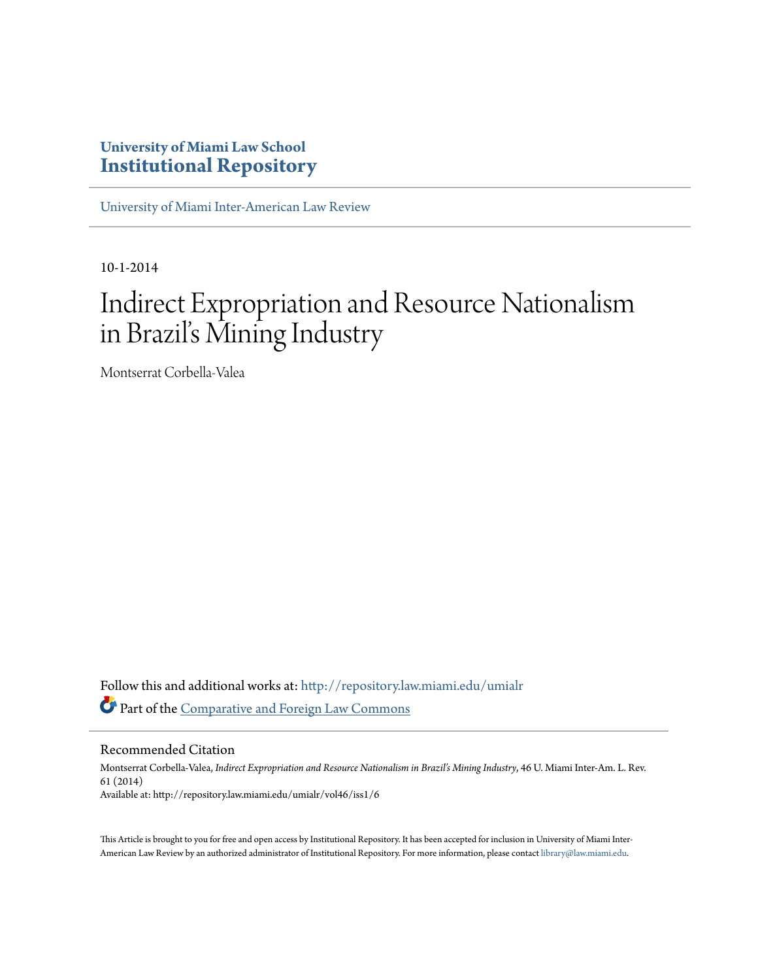# **University of Miami Law School [Institutional Repository](http://repository.law.miami.edu?utm_source=repository.law.miami.edu%2Fumialr%2Fvol46%2Fiss1%2F6&utm_medium=PDF&utm_campaign=PDFCoverPages)**

[University of Miami Inter-American Law Review](http://repository.law.miami.edu/umialr?utm_source=repository.law.miami.edu%2Fumialr%2Fvol46%2Fiss1%2F6&utm_medium=PDF&utm_campaign=PDFCoverPages)

10-1-2014

# Indirect Expropriation and Resource Nationalism in Brazil's Mining Industry

Montserrat Corbella-Valea

Follow this and additional works at: [http://repository.law.miami.edu/umialr](http://repository.law.miami.edu/umialr?utm_source=repository.law.miami.edu%2Fumialr%2Fvol46%2Fiss1%2F6&utm_medium=PDF&utm_campaign=PDFCoverPages) Part of the [Comparative and Foreign Law Commons](http://network.bepress.com/hgg/discipline/836?utm_source=repository.law.miami.edu%2Fumialr%2Fvol46%2Fiss1%2F6&utm_medium=PDF&utm_campaign=PDFCoverPages)

Recommended Citation

Montserrat Corbella-Valea, *Indirect Expropriation and Resource Nationalism in Brazil's Mining Industry*, 46 U. Miami Inter-Am. L. Rev. 61 (2014) Available at: http://repository.law.miami.edu/umialr/vol46/iss1/6

This Article is brought to you for free and open access by Institutional Repository. It has been accepted for inclusion in University of Miami Inter-American Law Review by an authorized administrator of Institutional Repository. For more information, please contact [library@law.miami.edu](mailto:library@law.miami.edu).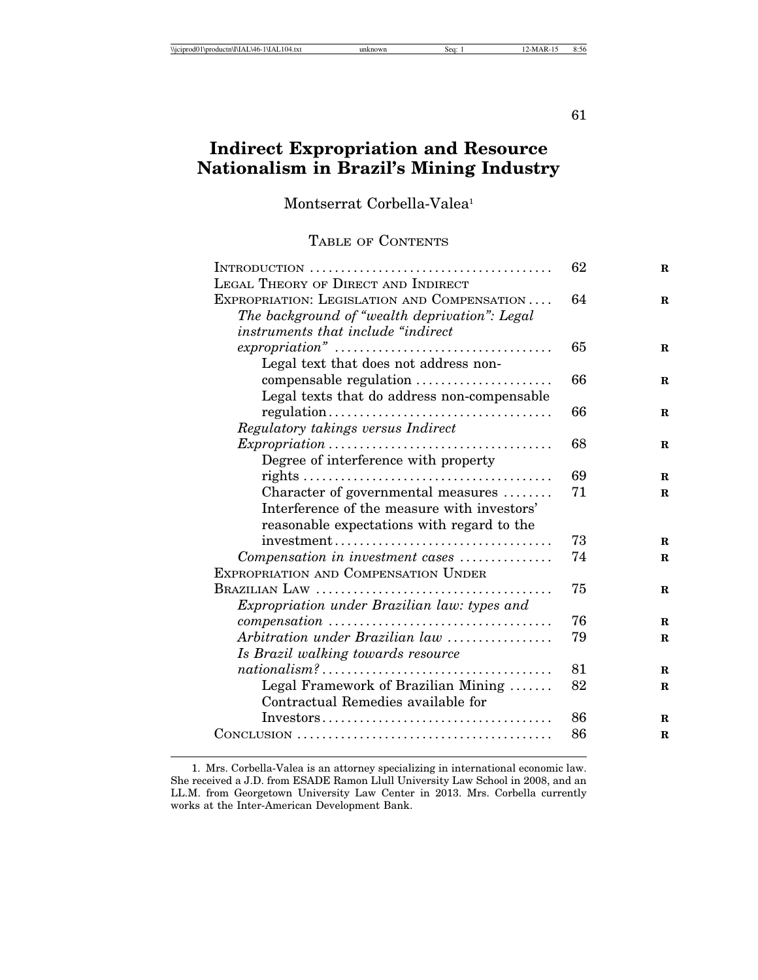#### 61

## **Indirect Expropriation and Resource Nationalism in Brazil's Mining Industry**

Montserrat Corbella-Valea<sup>1</sup>

#### TABLE OF CONTENTS

|                                                                                          | 62 | $\mathbf R$ |
|------------------------------------------------------------------------------------------|----|-------------|
| LEGAL THEORY OF DIRECT AND INDIRECT                                                      |    |             |
| EXPROPRIATION: LEGISLATION AND COMPENSATION                                              | 64 | R           |
| The background of "wealth deprivation": Legal                                            |    |             |
| instruments that include "indirect                                                       |    |             |
|                                                                                          | 65 | $\bf{R}$    |
| Legal text that does not address non-                                                    |    |             |
| compensable regulation                                                                   | 66 | R           |
| Legal texts that do address non-compensable                                              |    |             |
|                                                                                          | 66 | R           |
| Regulatory takings versus Indirect                                                       |    |             |
|                                                                                          | 68 | R           |
| Degree of interference with property                                                     |    |             |
|                                                                                          | 69 | $\bf{R}$    |
| Character of governmental measures                                                       | 71 | $\bf{R}$    |
| Interference of the measure with investors'                                              |    |             |
| reasonable expectations with regard to the                                               |    |             |
|                                                                                          | 73 | R.          |
| Compensation in investment cases                                                         | 74 | $\bf{R}$    |
| <b>EXPROPRIATION AND COMPENSATION UNDER</b>                                              |    |             |
|                                                                                          | 75 | R           |
| Expropriation under Brazilian law: types and                                             |    |             |
|                                                                                          | 76 | R           |
| Arbitration under Brazilian law                                                          | 79 | $\mathbf R$ |
| Is Brazil walking towards resource                                                       |    |             |
|                                                                                          | 81 | $\bf{R}$    |
| Legal Framework of Brazilian Mining                                                      | 82 | $\mathbf R$ |
| Contractual Remedies available for                                                       |    |             |
| $Investors \ldots \ldots \ldots \ldots \ldots \ldots \ldots \ldots \ldots \ldots \ldots$ | 86 | R           |
|                                                                                          | 86 | R           |
|                                                                                          |    |             |

<sup>1.</sup> Mrs. Corbella-Valea is an attorney specializing in international economic law. She received a J.D. from ESADE Ramon Llull University Law School in 2008, and an LL.M. from Georgetown University Law Center in 2013. Mrs. Corbella currently works at the Inter-American Development Bank.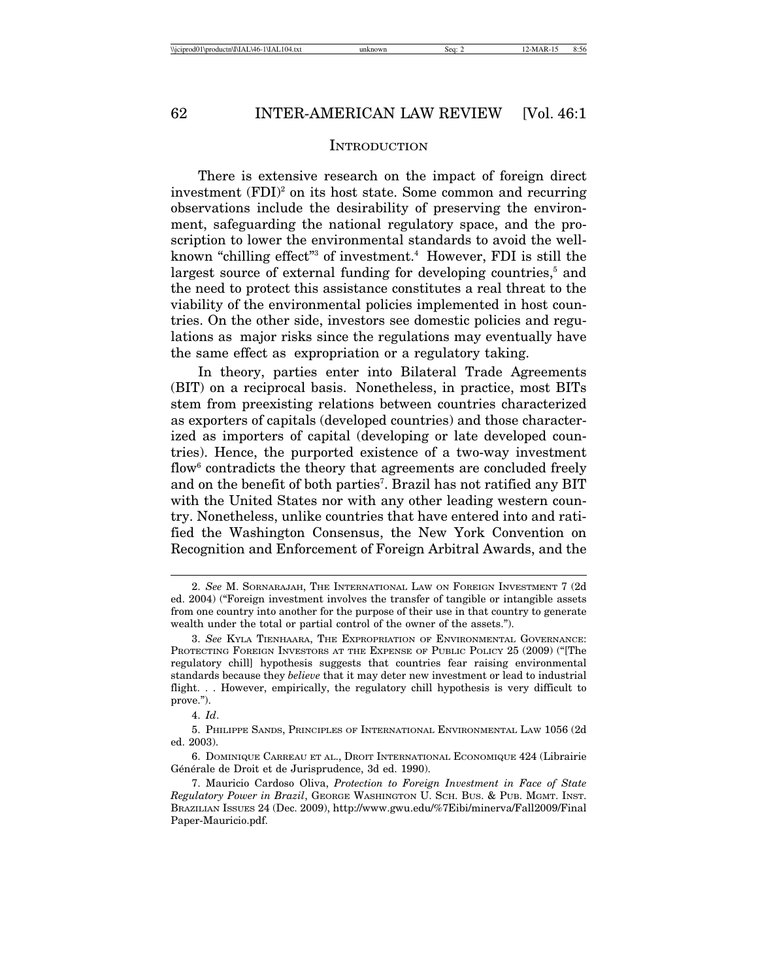#### INTRODUCTION

There is extensive research on the impact of foreign direct investment (FDI)<sup>2</sup> on its host state. Some common and recurring observations include the desirability of preserving the environment, safeguarding the national regulatory space, and the proscription to lower the environmental standards to avoid the wellknown "chilling effect"<sup>3</sup> of investment.<sup>4</sup> However, FDI is still the largest source of external funding for developing countries,<sup>5</sup> and the need to protect this assistance constitutes a real threat to the viability of the environmental policies implemented in host countries. On the other side, investors see domestic policies and regulations as major risks since the regulations may eventually have the same effect as expropriation or a regulatory taking.

In theory, parties enter into Bilateral Trade Agreements (BIT) on a reciprocal basis. Nonetheless, in practice, most BITs stem from preexisting relations between countries characterized as exporters of capitals (developed countries) and those characterized as importers of capital (developing or late developed countries). Hence, the purported existence of a two-way investment flow $^6$  contradicts the theory that agreements are concluded freely and on the benefit of both parties<sup>7</sup>. Brazil has not ratified any BIT with the United States nor with any other leading western country. Nonetheless, unlike countries that have entered into and ratified the Washington Consensus, the New York Convention on Recognition and Enforcement of Foreign Arbitral Awards, and the

4. *Id*.

<sup>2.</sup> *See* M. SORNARAJAH, THE INTERNATIONAL LAW ON FOREIGN INVESTMENT 7 (2d ed. 2004) ("Foreign investment involves the transfer of tangible or intangible assets from one country into another for the purpose of their use in that country to generate wealth under the total or partial control of the owner of the assets.").

<sup>3.</sup> *See* KYLA TIENHAARA, THE EXPROPRIATION OF ENVIRONMENTAL GOVERNANCE: PROTECTING FOREIGN INVESTORS AT THE EXPENSE OF PUBLIC POLICY 25 (2009) ("[The regulatory chill] hypothesis suggests that countries fear raising environmental standards because they *believe* that it may deter new investment or lead to industrial flight. . . However, empirically, the regulatory chill hypothesis is very difficult to prove.").

<sup>5.</sup> PHILIPPE SANDS, PRINCIPLES OF INTERNATIONAL ENVIRONMENTAL LAW 1056 (2d ed. 2003).

<sup>6.</sup> DOMINIQUE CARREAU ET AL., DROIT INTERNATIONAL ECONOMIQUE 424 (Librairie Générale de Droit et de Jurisprudence, 3d ed. 1990).

<sup>7.</sup> Mauricio Cardoso Oliva, *Protection to Foreign Investment in Face of State Regulatory Power in Brazil*, GEORGE WASHINGTON U. SCH. BUS. & PUB. MGMT. INST. BRAZILIAN ISSUES 24 (Dec. 2009), http://www.gwu.edu/%7Eibi/minerva/Fall2009/Final Paper-Mauricio.pdf.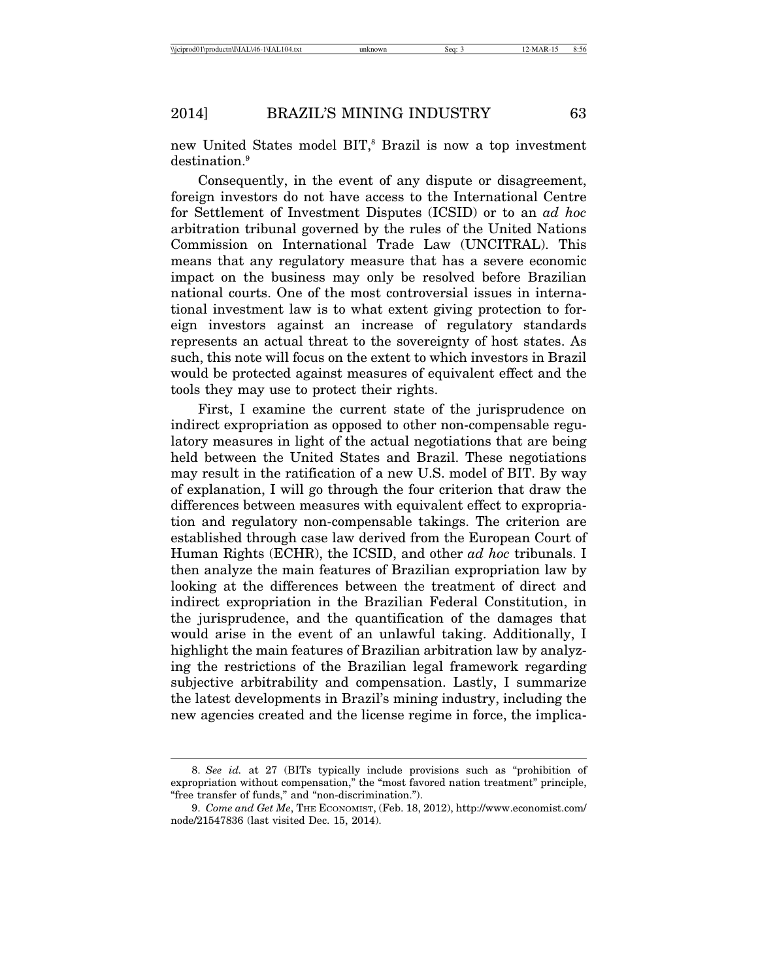new United States model BIT,<sup>8</sup> Brazil is now a top investment destination.<sup>9</sup>

Consequently, in the event of any dispute or disagreement, foreign investors do not have access to the International Centre for Settlement of Investment Disputes (ICSID) or to an *ad hoc* arbitration tribunal governed by the rules of the United Nations Commission on International Trade Law (UNCITRAL). This means that any regulatory measure that has a severe economic impact on the business may only be resolved before Brazilian national courts. One of the most controversial issues in international investment law is to what extent giving protection to foreign investors against an increase of regulatory standards represents an actual threat to the sovereignty of host states. As such, this note will focus on the extent to which investors in Brazil would be protected against measures of equivalent effect and the tools they may use to protect their rights.

First, I examine the current state of the jurisprudence on indirect expropriation as opposed to other non-compensable regulatory measures in light of the actual negotiations that are being held between the United States and Brazil. These negotiations may result in the ratification of a new U.S. model of BIT. By way of explanation, I will go through the four criterion that draw the differences between measures with equivalent effect to expropriation and regulatory non-compensable takings. The criterion are established through case law derived from the European Court of Human Rights (ECHR), the ICSID, and other *ad hoc* tribunals. I then analyze the main features of Brazilian expropriation law by looking at the differences between the treatment of direct and indirect expropriation in the Brazilian Federal Constitution, in the jurisprudence, and the quantification of the damages that would arise in the event of an unlawful taking. Additionally, I highlight the main features of Brazilian arbitration law by analyzing the restrictions of the Brazilian legal framework regarding subjective arbitrability and compensation. Lastly, I summarize the latest developments in Brazil's mining industry, including the new agencies created and the license regime in force, the implica-

<sup>8.</sup> *See id.* at 27 (BITs typically include provisions such as "prohibition of expropriation without compensation," the "most favored nation treatment" principle, "free transfer of funds," and "non-discrimination.").

<sup>9.</sup> *Come and Get Me*, THE ECONOMIST, (Feb. 18, 2012), http://www.economist.com/ node/21547836 (last visited Dec. 15, 2014).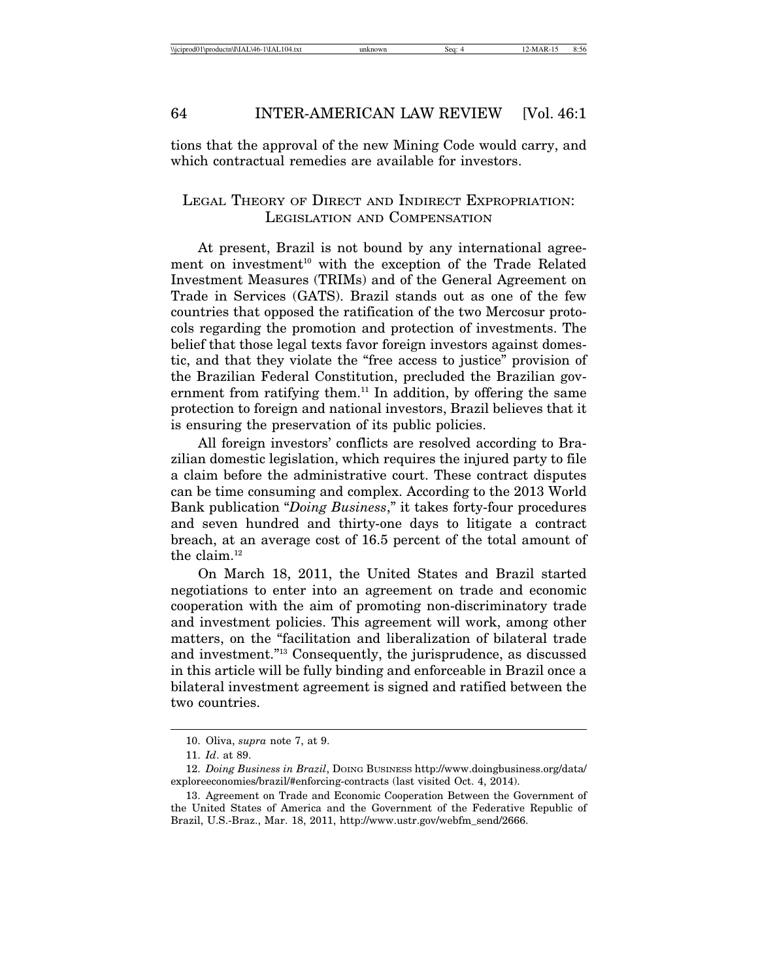tions that the approval of the new Mining Code would carry, and which contractual remedies are available for investors.

### LEGAL THEORY OF DIRECT AND INDIRECT EXPROPRIATION: LEGISLATION AND COMPENSATION

At present, Brazil is not bound by any international agreement on investment<sup>10</sup> with the exception of the Trade Related Investment Measures (TRIMs) and of the General Agreement on Trade in Services (GATS). Brazil stands out as one of the few countries that opposed the ratification of the two Mercosur protocols regarding the promotion and protection of investments. The belief that those legal texts favor foreign investors against domestic, and that they violate the "free access to justice" provision of the Brazilian Federal Constitution, precluded the Brazilian government from ratifying them.<sup>11</sup> In addition, by offering the same protection to foreign and national investors, Brazil believes that it is ensuring the preservation of its public policies.

All foreign investors' conflicts are resolved according to Brazilian domestic legislation, which requires the injured party to file a claim before the administrative court. These contract disputes can be time consuming and complex. According to the 2013 World Bank publication "*Doing Business*," it takes forty-four procedures and seven hundred and thirty-one days to litigate a contract breach, at an average cost of 16.5 percent of the total amount of the claim.<sup>12</sup>

On March 18, 2011, the United States and Brazil started negotiations to enter into an agreement on trade and economic cooperation with the aim of promoting non-discriminatory trade and investment policies. This agreement will work, among other matters, on the "facilitation and liberalization of bilateral trade and investment."13 Consequently, the jurisprudence, as discussed in this article will be fully binding and enforceable in Brazil once a bilateral investment agreement is signed and ratified between the two countries.

<sup>10.</sup> Oliva, *supra* note 7, at 9.

<sup>11.</sup> *Id*. at 89.

<sup>12.</sup> *Doing Business in Brazil*, DOING BUSINESS http://www.doingbusiness.org/data/ exploreeconomies/brazil/#enforcing-contracts (last visited Oct. 4, 2014).

<sup>13.</sup> Agreement on Trade and Economic Cooperation Between the Government of the United States of America and the Government of the Federative Republic of Brazil, U.S.-Braz., Mar. 18, 2011, http://www.ustr.gov/webfm\_send/2666.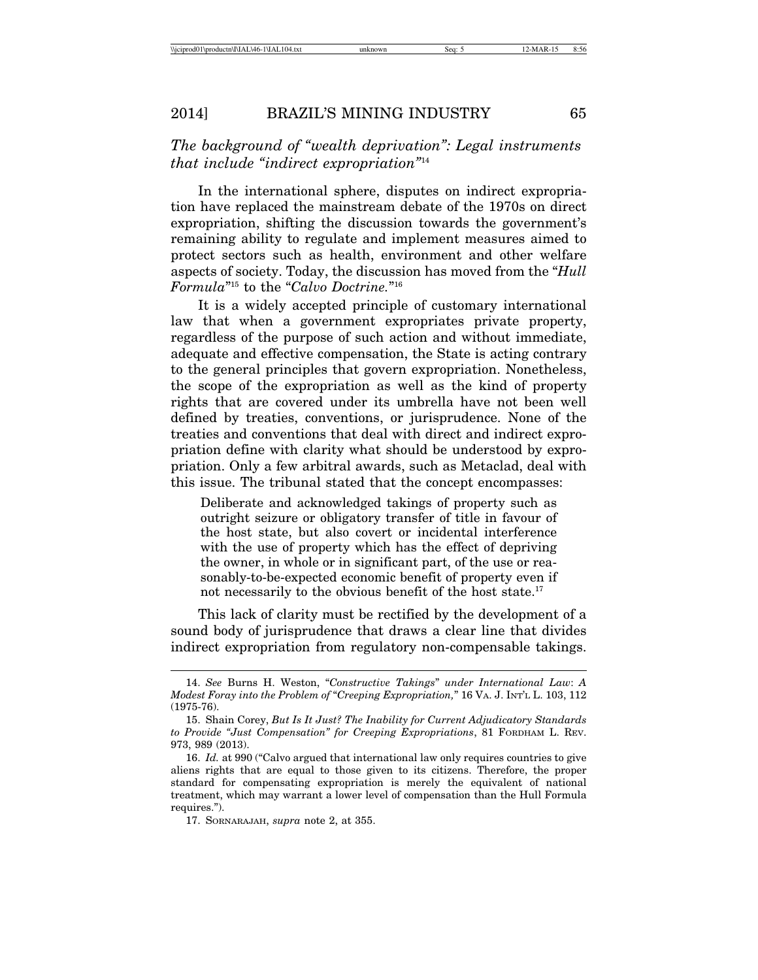*The background of "wealth deprivation": Legal instruments that include "indirect expropriation"*<sup>14</sup>

In the international sphere, disputes on indirect expropriation have replaced the mainstream debate of the 1970s on direct expropriation, shifting the discussion towards the government's remaining ability to regulate and implement measures aimed to protect sectors such as health, environment and other welfare aspects of society. Today, the discussion has moved from the "*Hull Formula*"15 to the "*Calvo Doctrine.*"16

It is a widely accepted principle of customary international law that when a government expropriates private property, regardless of the purpose of such action and without immediate, adequate and effective compensation, the State is acting contrary to the general principles that govern expropriation. Nonetheless, the scope of the expropriation as well as the kind of property rights that are covered under its umbrella have not been well defined by treaties, conventions, or jurisprudence. None of the treaties and conventions that deal with direct and indirect expropriation define with clarity what should be understood by expropriation. Only a few arbitral awards, such as Metaclad, deal with this issue. The tribunal stated that the concept encompasses:

Deliberate and acknowledged takings of property such as outright seizure or obligatory transfer of title in favour of the host state, but also covert or incidental interference with the use of property which has the effect of depriving the owner, in whole or in significant part, of the use or reasonably-to-be-expected economic benefit of property even if not necessarily to the obvious benefit of the host state.<sup>17</sup>

This lack of clarity must be rectified by the development of a sound body of jurisprudence that draws a clear line that divides indirect expropriation from regulatory non-compensable takings.

<sup>14.</sup> *See* Burns H. Weston, "*Constructive Takings*" *under International Law*: *A Modest Foray into the Problem of* "*Creeping Expropriation,*" 16 VA. J. INT'L L. 103, 112 (1975-76).

<sup>15.</sup> Shain Corey, *But Is It Just? The Inability for Current Adjudicatory Standards to Provide "Just Compensation" for Creeping Expropriations*, 81 FORDHAM L. REV. 973, 989 (2013).

<sup>16.</sup> *Id.* at 990 ("Calvo argued that international law only requires countries to give aliens rights that are equal to those given to its citizens. Therefore, the proper standard for compensating expropriation is merely the equivalent of national treatment, which may warrant a lower level of compensation than the Hull Formula requires.").

<sup>17.</sup> SORNARAJAH, *supra* note 2, at 355.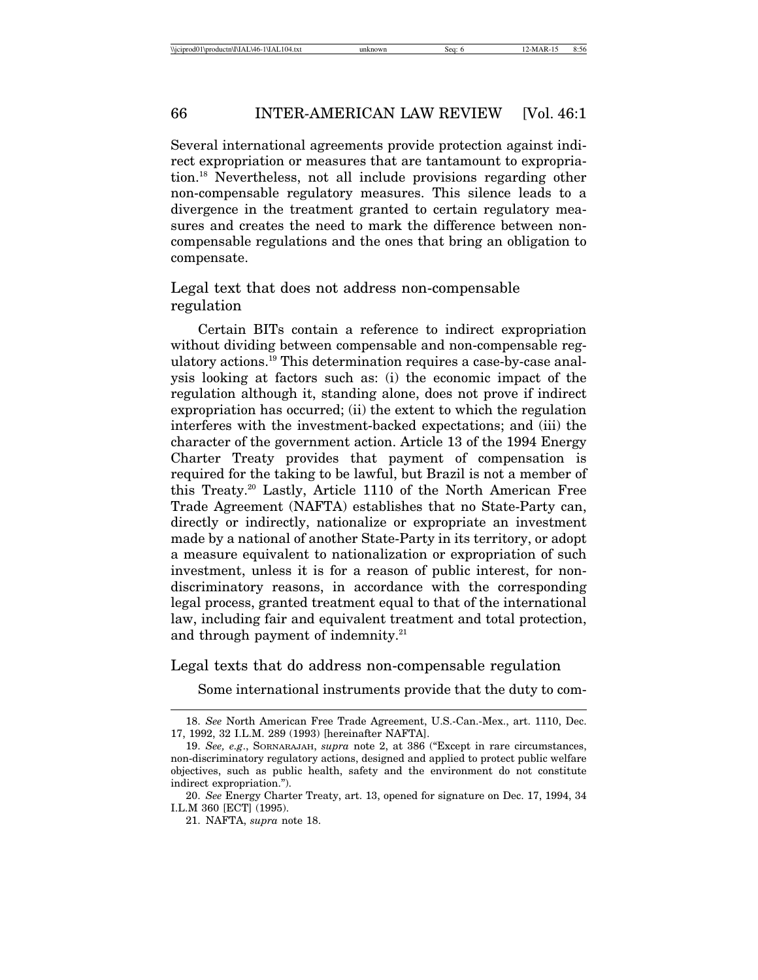Several international agreements provide protection against indirect expropriation or measures that are tantamount to expropriation.18 Nevertheless, not all include provisions regarding other non-compensable regulatory measures. This silence leads to a divergence in the treatment granted to certain regulatory measures and creates the need to mark the difference between noncompensable regulations and the ones that bring an obligation to compensate.

Legal text that does not address non-compensable regulation

Certain BITs contain a reference to indirect expropriation without dividing between compensable and non-compensable regulatory actions.19 This determination requires a case-by-case analysis looking at factors such as: (i) the economic impact of the regulation although it, standing alone, does not prove if indirect expropriation has occurred; (ii) the extent to which the regulation interferes with the investment-backed expectations; and (iii) the character of the government action. Article 13 of the 1994 Energy Charter Treaty provides that payment of compensation is required for the taking to be lawful, but Brazil is not a member of this Treaty.20 Lastly, Article 1110 of the North American Free Trade Agreement (NAFTA) establishes that no State-Party can, directly or indirectly, nationalize or expropriate an investment made by a national of another State-Party in its territory, or adopt a measure equivalent to nationalization or expropriation of such investment, unless it is for a reason of public interest, for nondiscriminatory reasons, in accordance with the corresponding legal process, granted treatment equal to that of the international law, including fair and equivalent treatment and total protection, and through payment of indemnity.<sup>21</sup>

#### Legal texts that do address non-compensable regulation

Some international instruments provide that the duty to com-

<sup>18.</sup> *See* North American Free Trade Agreement, U.S.-Can.-Mex., art. 1110, Dec. 17, 1992, 32 I.L.M. 289 (1993) [hereinafter NAFTA].

<sup>19.</sup> *See, e.g*., SORNARAJAH, *supra* note 2, at 386 ("Except in rare circumstances, non-discriminatory regulatory actions, designed and applied to protect public welfare objectives, such as public health, safety and the environment do not constitute indirect expropriation.").

<sup>20.</sup> *See* Energy Charter Treaty, art. 13, opened for signature on Dec. 17, 1994, 34 I.L.M 360 [ECT] (1995).

<sup>21.</sup> NAFTA, *supra* note 18.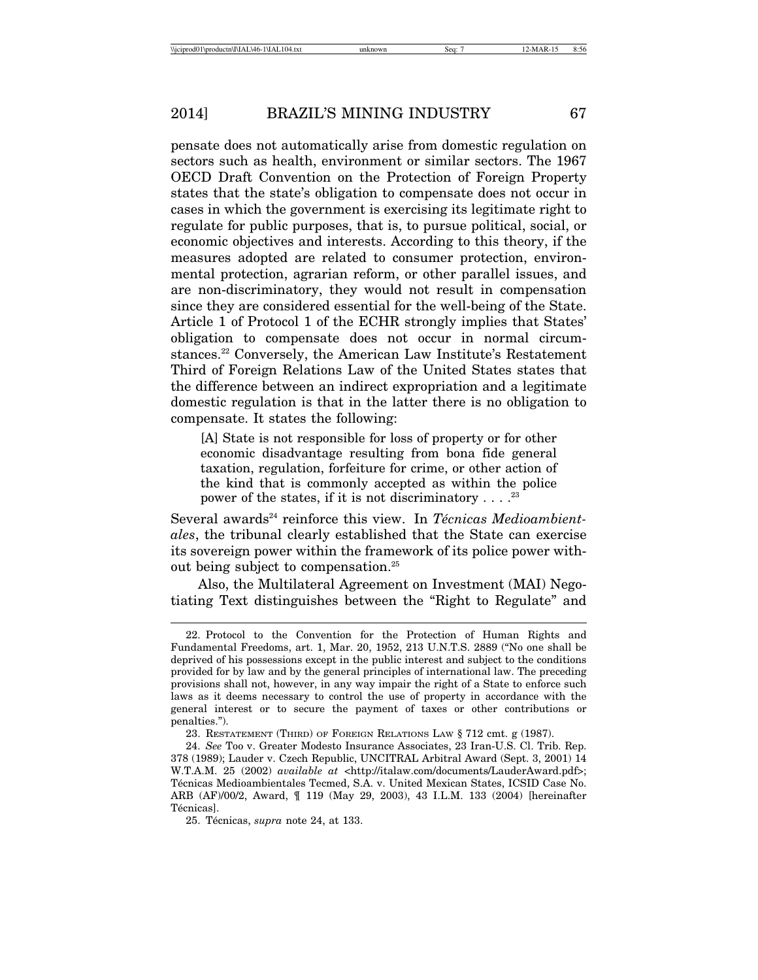pensate does not automatically arise from domestic regulation on sectors such as health, environment or similar sectors. The 1967 OECD Draft Convention on the Protection of Foreign Property states that the state's obligation to compensate does not occur in cases in which the government is exercising its legitimate right to regulate for public purposes, that is, to pursue political, social, or economic objectives and interests. According to this theory, if the measures adopted are related to consumer protection, environmental protection, agrarian reform, or other parallel issues, and are non-discriminatory, they would not result in compensation since they are considered essential for the well-being of the State. Article 1 of Protocol 1 of the ECHR strongly implies that States' obligation to compensate does not occur in normal circumstances.22 Conversely, the American Law Institute's Restatement Third of Foreign Relations Law of the United States states that the difference between an indirect expropriation and a legitimate domestic regulation is that in the latter there is no obligation to compensate. It states the following:

[A] State is not responsible for loss of property or for other economic disadvantage resulting from bona fide general taxation, regulation, forfeiture for crime, or other action of the kind that is commonly accepted as within the police power of the states, if it is not discriminatory . . . .<sup>23</sup>

Several awards<sup>24</sup> reinforce this view. In *Técnicas Medioambientales*, the tribunal clearly established that the State can exercise its sovereign power within the framework of its police power without being subject to compensation.25

Also, the Multilateral Agreement on Investment (MAI) Negotiating Text distinguishes between the "Right to Regulate" and

<sup>22.</sup> Protocol to the Convention for the Protection of Human Rights and Fundamental Freedoms, art. 1, Mar. 20, 1952, 213 U.N.T.S. 2889 ("No one shall be deprived of his possessions except in the public interest and subject to the conditions provided for by law and by the general principles of international law. The preceding provisions shall not, however, in any way impair the right of a State to enforce such laws as it deems necessary to control the use of property in accordance with the general interest or to secure the payment of taxes or other contributions or penalties.").

<sup>23.</sup> RESTATEMENT (THIRD) OF FOREIGN RELATIONS LAW § 712 cmt. g (1987).

<sup>24.</sup> *See* Too v. Greater Modesto Insurance Associates, 23 Iran-U.S. Cl. Trib. Rep. 378 (1989); Lauder v. Czech Republic, UNCITRAL Arbitral Award (Sept. 3, 2001) 14 W.T.A.M. 25 (2002) *available at* <http://italaw.com/documents/LauderAward.pdf>; Técnicas Medioambientales Tecmed, S.A. v. United Mexican States, ICSID Case No. ARB (AF)/00/2, Award, ¶ 119 (May 29, 2003), 43 I.L.M. 133 (2004) [hereinafter Técnicas].

<sup>25.</sup> Técnicas, *supra* note 24, at 133.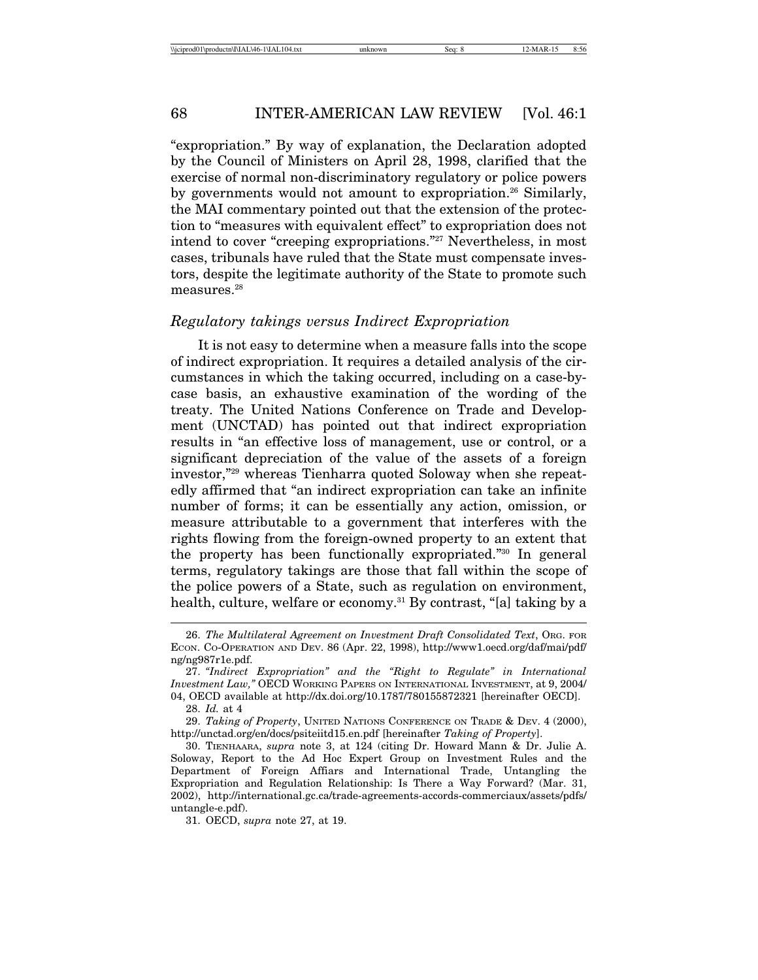"expropriation." By way of explanation, the Declaration adopted by the Council of Ministers on April 28, 1998, clarified that the exercise of normal non-discriminatory regulatory or police powers by governments would not amount to expropriation.<sup>26</sup> Similarly, the MAI commentary pointed out that the extension of the protection to "measures with equivalent effect" to expropriation does not intend to cover "creeping expropriations."27 Nevertheless, in most cases, tribunals have ruled that the State must compensate investors, despite the legitimate authority of the State to promote such measures.<sup>28</sup>

#### *Regulatory takings versus Indirect Expropriation*

It is not easy to determine when a measure falls into the scope of indirect expropriation. It requires a detailed analysis of the circumstances in which the taking occurred, including on a case-bycase basis, an exhaustive examination of the wording of the treaty. The United Nations Conference on Trade and Development (UNCTAD) has pointed out that indirect expropriation results in "an effective loss of management, use or control, or a significant depreciation of the value of the assets of a foreign investor,"29 whereas Tienharra quoted Soloway when she repeatedly affirmed that "an indirect expropriation can take an infinite number of forms; it can be essentially any action, omission, or measure attributable to a government that interferes with the rights flowing from the foreign-owned property to an extent that the property has been functionally expropriated."30 In general terms, regulatory takings are those that fall within the scope of the police powers of a State, such as regulation on environment, health, culture, welfare or economy.<sup>31</sup> By contrast, "[a] taking by a

<sup>26.</sup> *The Multilateral Agreement on Investment Draft Consolidated Text*, ORG. FOR ECON. CO-OPERATION AND DEV. 86 (Apr. 22, 1998), http://www1.oecd.org/daf/mai/pdf/ ng/ng987r1e.pdf.

<sup>27.</sup> *"Indirect Expropriation" and the "Right to Regulate" in International Investment Law,"* OECD WORKING PAPERS ON INTERNATIONAL INVESTMENT, at 9, 2004/ 04, OECD available at http://dx.doi.org/10.1787/780155872321 [hereinafter OECD].

<sup>28.</sup> *Id.* at 4

<sup>29.</sup> *Taking of Property*, UNITED NATIONS CONFERENCE ON TRADE & DEV. 4 (2000), http://unctad.org/en/docs/psiteiitd15.en.pdf [hereinafter *Taking of Property*].

<sup>30.</sup> TIENHAARA, *supra* note 3, at 124 (citing Dr. Howard Mann & Dr. Julie A. Soloway, Report to the Ad Hoc Expert Group on Investment Rules and the Department of Foreign Affiars and International Trade, Untangling the Expropriation and Regulation Relationship: Is There a Way Forward? (Mar. 31, 2002), http://international.gc.ca/trade-agreements-accords-commerciaux/assets/pdfs/ untangle-e.pdf).

<sup>31.</sup> OECD, *supra* note 27, at 19.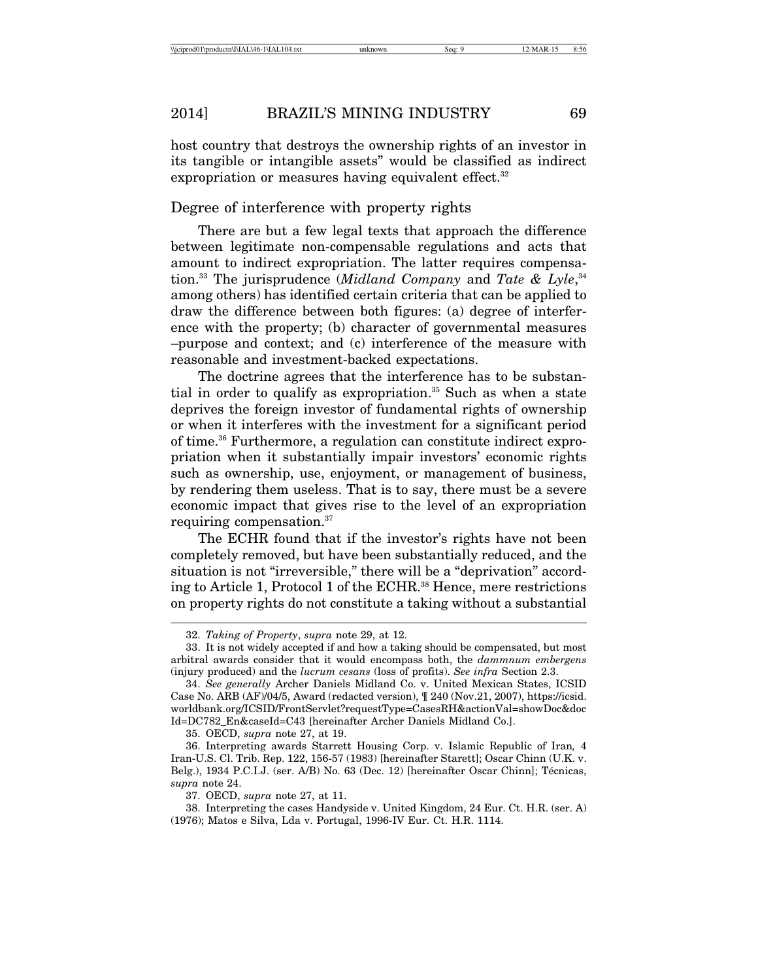host country that destroys the ownership rights of an investor in its tangible or intangible assets" would be classified as indirect expropriation or measures having equivalent effect.<sup>32</sup>

#### Degree of interference with property rights

There are but a few legal texts that approach the difference between legitimate non-compensable regulations and acts that amount to indirect expropriation. The latter requires compensation.33 The jurisprudence (*Midland Company* and *Tate & Lyle*, 34 among others) has identified certain criteria that can be applied to draw the difference between both figures: (a) degree of interference with the property; (b) character of governmental measures –purpose and context; and (c) interference of the measure with reasonable and investment-backed expectations.

The doctrine agrees that the interference has to be substantial in order to qualify as expropriation.<sup>35</sup> Such as when a state deprives the foreign investor of fundamental rights of ownership or when it interferes with the investment for a significant period of time.36 Furthermore, a regulation can constitute indirect expropriation when it substantially impair investors' economic rights such as ownership, use, enjoyment, or management of business, by rendering them useless. That is to say, there must be a severe economic impact that gives rise to the level of an expropriation requiring compensation.<sup>37</sup>

The ECHR found that if the investor's rights have not been completely removed, but have been substantially reduced, and the situation is not "irreversible," there will be a "deprivation" according to Article 1, Protocol 1 of the ECHR.38 Hence, mere restrictions on property rights do not constitute a taking without a substantial

37. OECD, *supra* note 27, at 11.

<sup>32.</sup> *Taking of Property*, *supra* note 29, at 12.

<sup>33.</sup> It is not widely accepted if and how a taking should be compensated, but most arbitral awards consider that it would encompass both, the *dammnum embergens* (injury produced) and the *lucrum cesans* (loss of profits). *See infra* Section 2.3.

<sup>34.</sup> *See generally* Archer Daniels Midland Co. v. United Mexican States, ICSID Case No. ARB (AF)/04/5, Award (redacted version), ¶ 240 (Nov.21, 2007), https://icsid. worldbank.org/ICSID/FrontServlet?requestType=CasesRH&actionVal=showDoc&doc Id=DC782\_En&caseId=C43 [hereinafter Archer Daniels Midland Co.].

<sup>35.</sup> OECD, *supra* note 27, at 19.

<sup>36.</sup> Interpreting awards Starrett Housing Corp. v. Islamic Republic of Iran*,* 4 Iran-U.S. Cl. Trib. Rep. 122, 156-57 (1983) [hereinafter Starett]; Oscar Chinn (U.K. v. Belg.), 1934 P.C.I.J. (ser. A/B) No. 63 (Dec. 12) [hereinafter Oscar Chinn]; Técnicas, *supra* note 24.

<sup>38.</sup> Interpreting the cases Handyside v. United Kingdom, 24 Eur. Ct. H.R. (ser. A) (1976); Matos e Silva, Lda v. Portugal, 1996-IV Eur. Ct. H.R. 1114.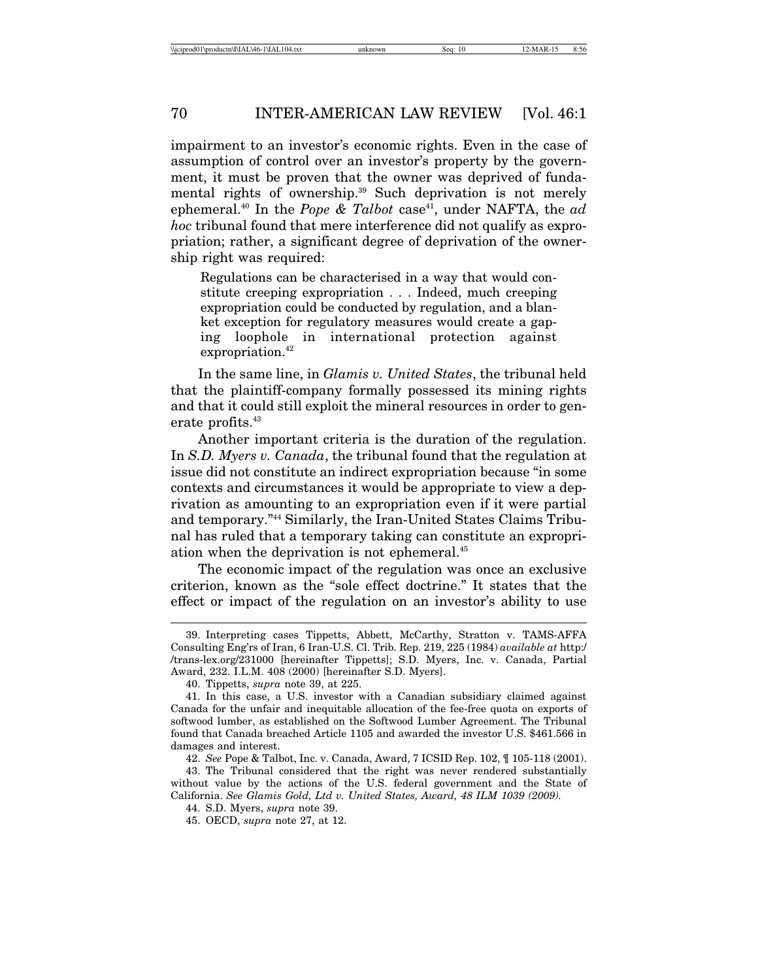impairment to an investor's economic rights. Even in the case of assumption of control over an investor's property by the government, it must be proven that the owner was deprived of fundamental rights of ownership.<sup>39</sup> Such deprivation is not merely ephemeral.<sup>40</sup> In the *Pope & Talbot* case<sup>41</sup>, under NAFTA, the *ad hoc* tribunal found that mere interference did not qualify as expropriation; rather, a significant degree of deprivation of the ownership right was required:

Regulations can be characterised in a way that would constitute creeping expropriation . . . Indeed, much creeping expropriation could be conducted by regulation, and a blanket exception for regulatory measures would create a gaping loophole in international protection against expropriation.<sup>42</sup>

In the same line, in *Glamis v. United States*, the tribunal held that the plaintiff-company formally possessed its mining rights and that it could still exploit the mineral resources in order to generate profits.<sup>43</sup>

Another important criteria is the duration of the regulation. In *S.D. Myers v. Canada*, the tribunal found that the regulation at issue did not constitute an indirect expropriation because "in some contexts and circumstances it would be appropriate to view a deprivation as amounting to an expropriation even if it were partial and temporary."44 Similarly, the Iran-United States Claims Tribunal has ruled that a temporary taking can constitute an expropriation when the deprivation is not ephemeral.45

The economic impact of the regulation was once an exclusive criterion, known as the "sole effect doctrine." It states that the effect or impact of the regulation on an investor's ability to use

<sup>39.</sup> Interpreting cases Tippetts, Abbett, McCarthy, Stratton v. TAMS-AFFA Consulting Eng'rs of Iran, 6 Iran-U.S. Cl. Trib. Rep. 219, 225 (1984) *available at* http:/ /trans-lex.org/231000 [hereinafter Tippetts]; S.D. Myers, Inc. v. Canada, Partial Award, 232. I.L.M. 408 (2000) [hereinafter S.D. Myers].

<sup>40.</sup> Tippetts, *supra* note 39, at 225.

<sup>41.</sup> In this case, a U.S. investor with a Canadian subsidiary claimed against Canada for the unfair and inequitable allocation of the fee-free quota on exports of softwood lumber, as established on the Softwood Lumber Agreement. The Tribunal found that Canada breached Article 1105 and awarded the investor U.S. \$461.566 in damages and interest.

<sup>42.</sup> *See* Pope & Talbot, Inc. v. Canada, Award, 7 ICSID Rep. 102, ¶ 105-118 (2001).

<sup>43.</sup> The Tribunal considered that the right was never rendered substantially without value by the actions of the U.S. federal government and the State of California. *See Glamis Gold, Ltd v. United States, Award, 48 ILM 1039 (2009).*

<sup>44.</sup> S.D. Myers, *supra* note 39.

<sup>45.</sup> OECD, *supra* note 27, at 12.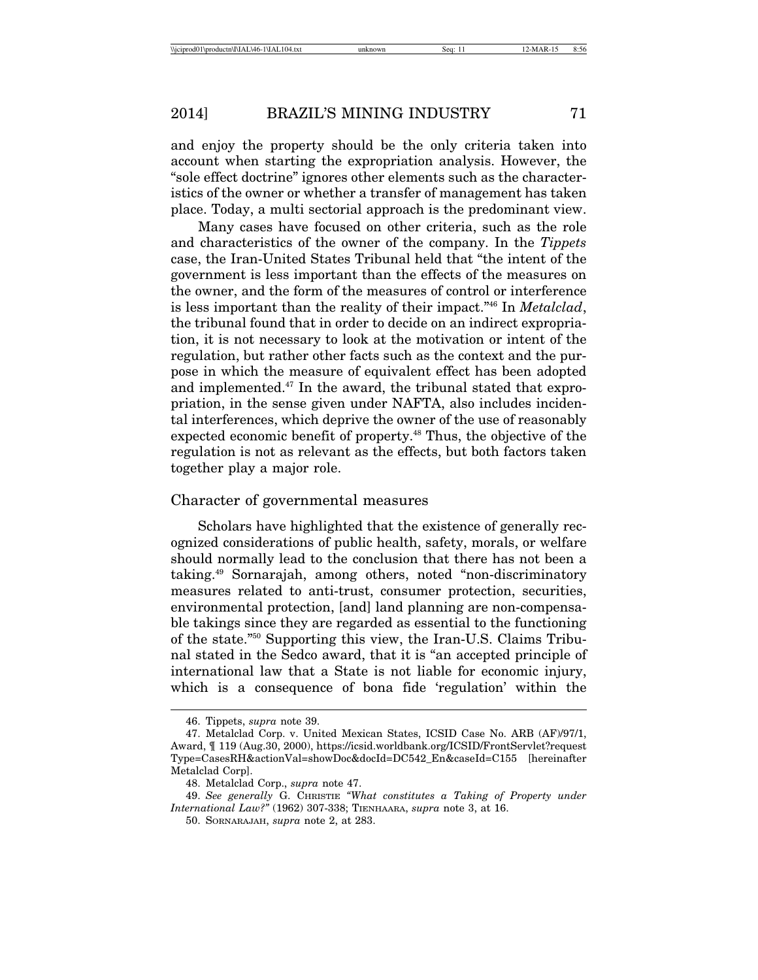and enjoy the property should be the only criteria taken into account when starting the expropriation analysis. However, the "sole effect doctrine" ignores other elements such as the characteristics of the owner or whether a transfer of management has taken place. Today, a multi sectorial approach is the predominant view.

Many cases have focused on other criteria, such as the role and characteristics of the owner of the company. In the *Tippets* case, the Iran-United States Tribunal held that "the intent of the government is less important than the effects of the measures on the owner, and the form of the measures of control or interference is less important than the reality of their impact."46 In *Metalclad*, the tribunal found that in order to decide on an indirect expropriation, it is not necessary to look at the motivation or intent of the regulation, but rather other facts such as the context and the purpose in which the measure of equivalent effect has been adopted and implemented.47 In the award, the tribunal stated that expropriation, in the sense given under NAFTA, also includes incidental interferences, which deprive the owner of the use of reasonably expected economic benefit of property.<sup>48</sup> Thus, the objective of the regulation is not as relevant as the effects, but both factors taken together play a major role.

#### Character of governmental measures

Scholars have highlighted that the existence of generally recognized considerations of public health, safety, morals, or welfare should normally lead to the conclusion that there has not been a taking.49 Sornarajah, among others, noted "non-discriminatory measures related to anti-trust, consumer protection, securities, environmental protection, [and] land planning are non-compensable takings since they are regarded as essential to the functioning of the state."50 Supporting this view, the Iran-U.S. Claims Tribunal stated in the Sedco award, that it is "an accepted principle of international law that a State is not liable for economic injury, which is a consequence of bona fide 'regulation' within the

<sup>46.</sup> Tippets, *supra* note 39.

<sup>47.</sup> Metalclad Corp. v. United Mexican States, ICSID Case No. ARB (AF)/97/1, Award, ¶ 119 (Aug.30, 2000), https://icsid.worldbank.org/ICSID/FrontServlet?request Type=CasesRH&actionVal=showDoc&docId=DC542\_En&caseId=C155 [hereinafter Metalclad Corp].

<sup>48.</sup> Metalclad Corp., *supra* note 47.

<sup>49.</sup> *See generally* G. CHRISTIE *"What constitutes a Taking of Property under International Law?"* (1962) 307-338; TIENHAARA, *supra* note 3, at 16.

<sup>50.</sup> SORNARAJAH, *supra* note 2, at 283.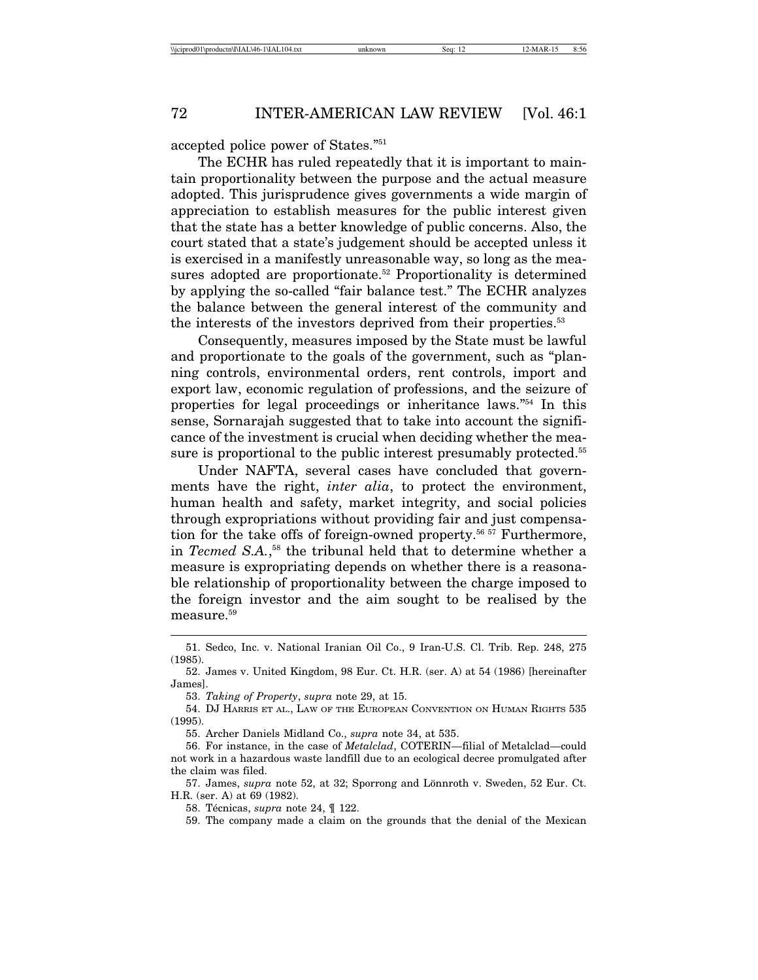accepted police power of States."51

The ECHR has ruled repeatedly that it is important to maintain proportionality between the purpose and the actual measure adopted. This jurisprudence gives governments a wide margin of appreciation to establish measures for the public interest given that the state has a better knowledge of public concerns. Also, the court stated that a state's judgement should be accepted unless it is exercised in a manifestly unreasonable way, so long as the measures adopted are proportionate.<sup>52</sup> Proportionality is determined by applying the so-called "fair balance test." The ECHR analyzes the balance between the general interest of the community and the interests of the investors deprived from their properties.<sup>53</sup>

Consequently, measures imposed by the State must be lawful and proportionate to the goals of the government, such as "planning controls, environmental orders, rent controls, import and export law, economic regulation of professions, and the seizure of properties for legal proceedings or inheritance laws."54 In this sense, Sornarajah suggested that to take into account the significance of the investment is crucial when deciding whether the measure is proportional to the public interest presumably protected.<sup>55</sup>

Under NAFTA, several cases have concluded that governments have the right, *inter alia*, to protect the environment, human health and safety, market integrity, and social policies through expropriations without providing fair and just compensation for the take offs of foreign-owned property.<sup>56 57</sup> Furthermore, in *Tecmed S.A.*, 58 the tribunal held that to determine whether a measure is expropriating depends on whether there is a reasonable relationship of proportionality between the charge imposed to the foreign investor and the aim sought to be realised by the measure.<sup>59</sup>

53. *Taking of Property*, *supra* note 29, at 15.

54. DJ HARRIS ET AL., LAW OF THE EUROPEAN CONVENTION ON HUMAN RIGHTS 535 (1995).

55. Archer Daniels Midland Co., *supra* note 34, at 535.

56. For instance, in the case of *Metalclad*, COTERIN—filial of Metalclad—could not work in a hazardous waste landfill due to an ecological decree promulgated after the claim was filed.

57. James, *supra* note 52, at 32; Sporrong and Lönnroth v. Sweden, 52 Eur. Ct. H.R. (ser. A) at 69 (1982).

58. Técnicas, *supra* note 24,  $\parallel$  122.

59. The company made a claim on the grounds that the denial of the Mexican

<sup>51.</sup> Sedco, Inc. v. National Iranian Oil Co., 9 Iran-U.S. Cl. Trib. Rep. 248, 275 (1985).

<sup>52.</sup> James v. United Kingdom, 98 Eur. Ct. H.R. (ser. A) at 54 (1986) [hereinafter James].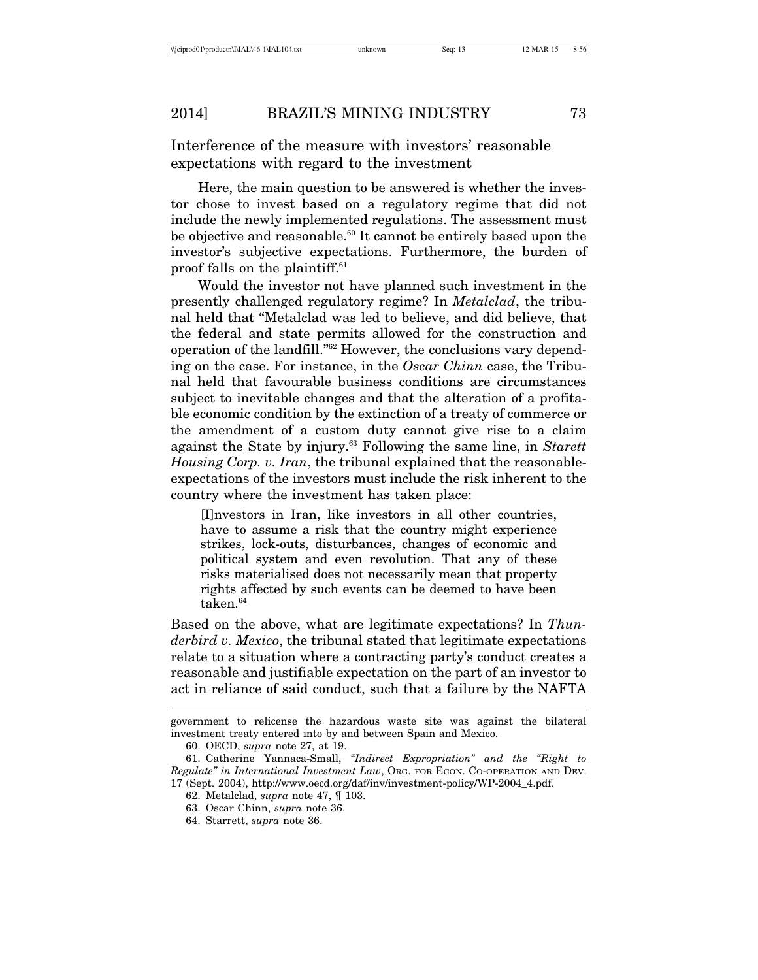Interference of the measure with investors' reasonable expectations with regard to the investment

Here, the main question to be answered is whether the investor chose to invest based on a regulatory regime that did not include the newly implemented regulations. The assessment must be objective and reasonable.<sup>60</sup> It cannot be entirely based upon the investor's subjective expectations. Furthermore, the burden of proof falls on the plaintiff.61

Would the investor not have planned such investment in the presently challenged regulatory regime? In *Metalclad*, the tribunal held that "Metalclad was led to believe, and did believe, that the federal and state permits allowed for the construction and operation of the landfill."62 However, the conclusions vary depending on the case. For instance, in the *Oscar Chinn* case, the Tribunal held that favourable business conditions are circumstances subject to inevitable changes and that the alteration of a profitable economic condition by the extinction of a treaty of commerce or the amendment of a custom duty cannot give rise to a claim against the State by injury.63 Following the same line, in *Starett Housing Corp. v. Iran*, the tribunal explained that the reasonableexpectations of the investors must include the risk inherent to the country where the investment has taken place:

[I]nvestors in Iran, like investors in all other countries, have to assume a risk that the country might experience strikes, lock-outs, disturbances, changes of economic and political system and even revolution. That any of these risks materialised does not necessarily mean that property rights affected by such events can be deemed to have been taken.<sup>64</sup>

Based on the above, what are legitimate expectations? In *Thunderbird v. Mexico*, the tribunal stated that legitimate expectations relate to a situation where a contracting party's conduct creates a reasonable and justifiable expectation on the part of an investor to act in reliance of said conduct, such that a failure by the NAFTA

government to relicense the hazardous waste site was against the bilateral investment treaty entered into by and between Spain and Mexico.

<sup>60.</sup> OECD, *supra* note 27, at 19.

<sup>61.</sup> Catherine Yannaca-Small, *"Indirect Expropriation" and the "Right to Regulate" in International Investment Law*, ORG. FOR ECON. CO-OPERATION AND DEV. 17 (Sept. 2004), http://www.oecd.org/daf/inv/investment-policy/WP-2004\_4.pdf.

<sup>62.</sup> Metalclad, *supra* note 47, ¶ 103.

<sup>63.</sup> Oscar Chinn, *supra* note 36.

<sup>64.</sup> Starrett, *supra* note 36.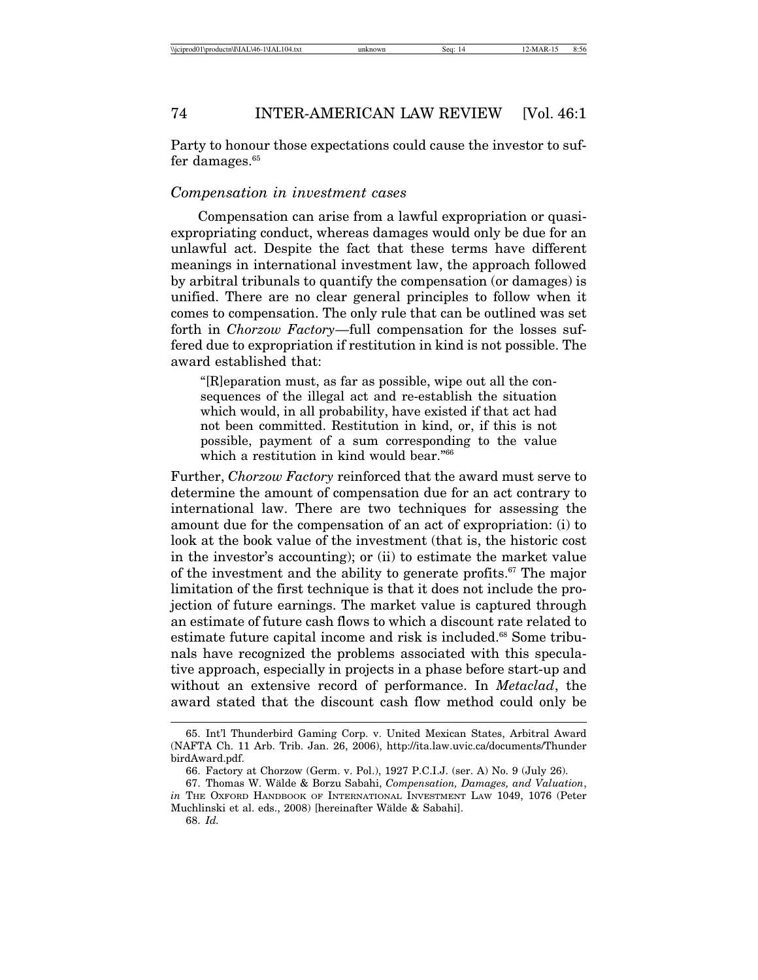Party to honour those expectations could cause the investor to suffer damages.<sup>65</sup>

#### *Compensation in investment cases*

Compensation can arise from a lawful expropriation or quasiexpropriating conduct, whereas damages would only be due for an unlawful act. Despite the fact that these terms have different meanings in international investment law, the approach followed by arbitral tribunals to quantify the compensation (or damages) is unified. There are no clear general principles to follow when it comes to compensation. The only rule that can be outlined was set forth in *Chorzow Factory*—full compensation for the losses suffered due to expropriation if restitution in kind is not possible. The award established that:

"[R]eparation must, as far as possible, wipe out all the consequences of the illegal act and re-establish the situation which would, in all probability, have existed if that act had not been committed. Restitution in kind, or, if this is not possible, payment of a sum corresponding to the value which a restitution in kind would bear."66

Further, *Chorzow Factory* reinforced that the award must serve to determine the amount of compensation due for an act contrary to international law. There are two techniques for assessing the amount due for the compensation of an act of expropriation: (i) to look at the book value of the investment (that is, the historic cost in the investor's accounting); or (ii) to estimate the market value of the investment and the ability to generate profits.<sup>67</sup> The major limitation of the first technique is that it does not include the projection of future earnings. The market value is captured through an estimate of future cash flows to which a discount rate related to estimate future capital income and risk is included.<sup>68</sup> Some tribunals have recognized the problems associated with this speculative approach, especially in projects in a phase before start-up and without an extensive record of performance. In *Metaclad*, the award stated that the discount cash flow method could only be

<sup>65.</sup> Int'l Thunderbird Gaming Corp. v. United Mexican States, Arbitral Award (NAFTA Ch. 11 Arb. Trib. Jan. 26, 2006), http://ita.law.uvic.ca/documents/Thunder birdAward.pdf.

<sup>66.</sup> Factory at Chorzow (Germ. v. Pol.), 1927 P.C.I.J. (ser. A) No. 9 (July 26).

<sup>67.</sup> Thomas W. W¨alde & Borzu Sabahi, *Compensation, Damages, and Valuation*, *in* The Oxford HANDBOOK OF INTERNATIONAL INVESTMENT LAW 1049, 1076 (Peter Muchlinski et al. eds., 2008) [hereinafter Wälde & Sabahi].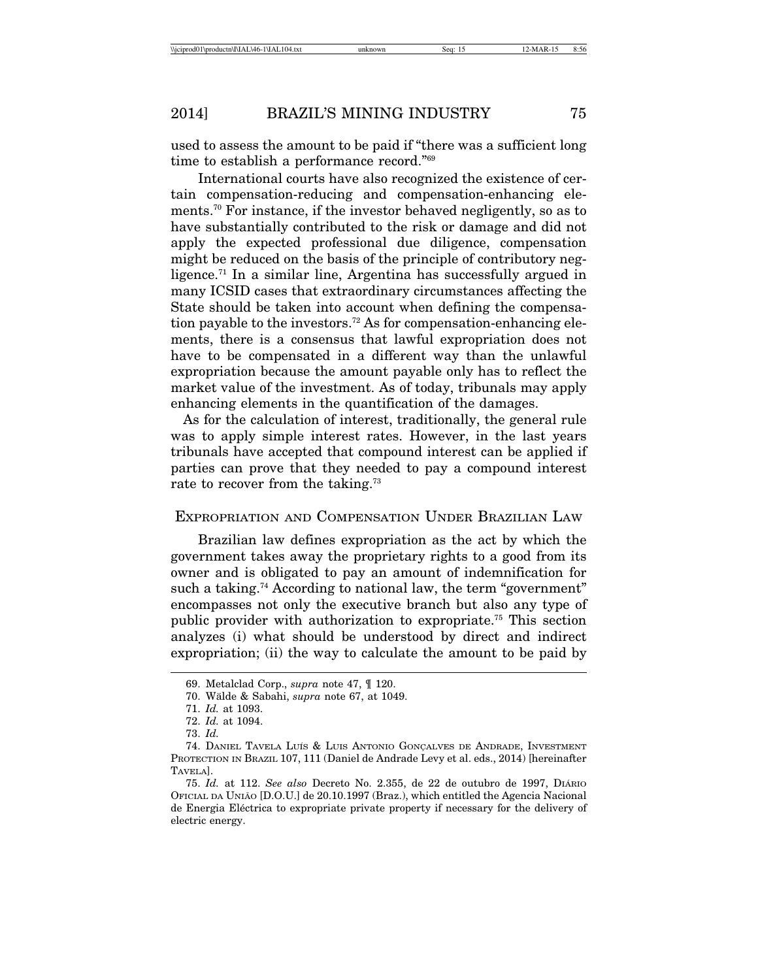used to assess the amount to be paid if "there was a sufficient long time to establish a performance record."69

International courts have also recognized the existence of certain compensation-reducing and compensation-enhancing elements.70 For instance, if the investor behaved negligently, so as to have substantially contributed to the risk or damage and did not apply the expected professional due diligence, compensation might be reduced on the basis of the principle of contributory negligence.<sup>71</sup> In a similar line, Argentina has successfully argued in many ICSID cases that extraordinary circumstances affecting the State should be taken into account when defining the compensation payable to the investors.72 As for compensation-enhancing elements, there is a consensus that lawful expropriation does not have to be compensated in a different way than the unlawful expropriation because the amount payable only has to reflect the market value of the investment. As of today, tribunals may apply enhancing elements in the quantification of the damages.

 As for the calculation of interest, traditionally, the general rule was to apply simple interest rates. However, in the last years tribunals have accepted that compound interest can be applied if parties can prove that they needed to pay a compound interest rate to recover from the taking.<sup>73</sup>

#### EXPROPRIATION AND COMPENSATION UNDER BRAZILIAN LAW

Brazilian law defines expropriation as the act by which the government takes away the proprietary rights to a good from its owner and is obligated to pay an amount of indemnification for such a taking.<sup>74</sup> According to national law, the term "government" encompasses not only the executive branch but also any type of public provider with authorization to expropriate.75 This section analyzes (i) what should be understood by direct and indirect expropriation; (ii) the way to calculate the amount to be paid by

<sup>69.</sup> Metalclad Corp., *supra* note 47, ¶ 120.

<sup>70.</sup> W¨alde & Sabahi, *supra* note 67, at 1049.

<sup>71.</sup> *Id.* at 1093.

<sup>72.</sup> *Id.* at 1094.

<sup>73.</sup> *Id.*

<sup>74.</sup> DANIEL TAVELA LUÍS & LUIS ANTONIO GONÇALVES DE ANDRADE, INVESTMENT PROTECTION IN BRAZIL 107, 111 (Daniel de Andrade Levy et al. eds., 2014) [hereinafter TAVELA].

<sup>75.</sup> *Id.* at 112. *See also* Decreto No. 2.355, de 22 de outubro de 1997, DIARIO ´ OFICIAL DA UNIAO˜ [D.O.U.] de 20.10.1997 (Braz.), which entitled the Agencia Nacional de Energia Eléctrica to expropriate private property if necessary for the delivery of electric energy.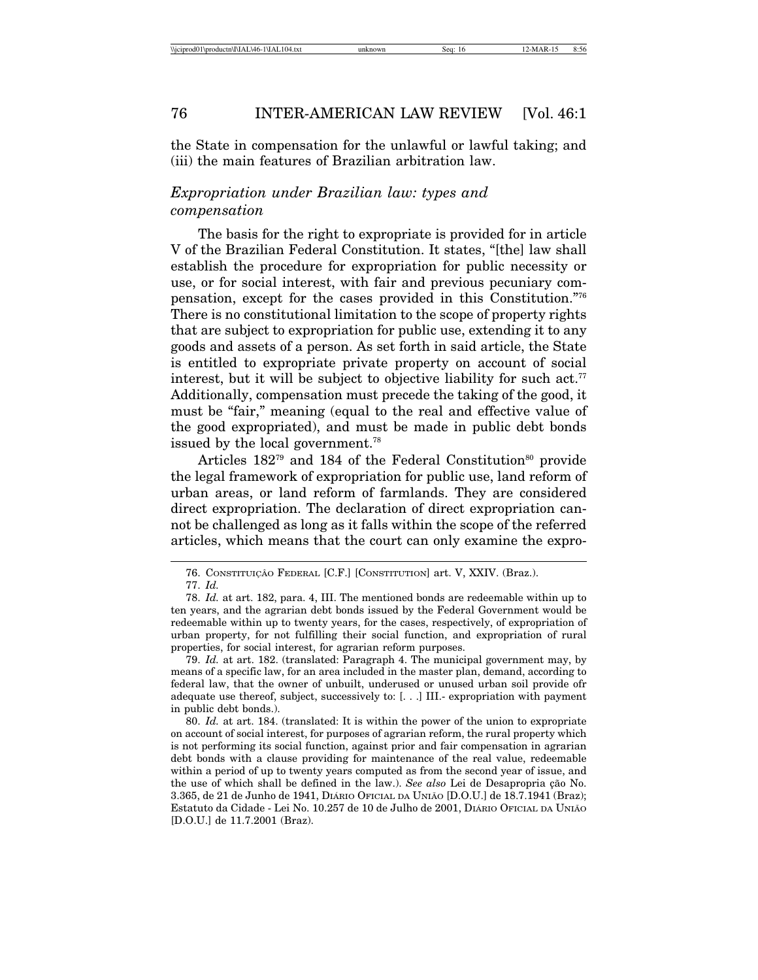the State in compensation for the unlawful or lawful taking; and (iii) the main features of Brazilian arbitration law.

### *Expropriation under Brazilian law: types and compensation*

The basis for the right to expropriate is provided for in article V of the Brazilian Federal Constitution. It states, "[the] law shall establish the procedure for expropriation for public necessity or use, or for social interest, with fair and previous pecuniary compensation, except for the cases provided in this Constitution."76 There is no constitutional limitation to the scope of property rights that are subject to expropriation for public use, extending it to any goods and assets of a person. As set forth in said article, the State is entitled to expropriate private property on account of social interest, but it will be subject to objective liability for such act.<sup>77</sup> Additionally, compensation must precede the taking of the good, it must be "fair," meaning (equal to the real and effective value of the good expropriated), and must be made in public debt bonds issued by the local government.<sup>78</sup>

Articles  $182^{79}$  and  $184$  of the Federal Constitution<sup>80</sup> provide the legal framework of expropriation for public use, land reform of urban areas, or land reform of farmlands. They are considered direct expropriation. The declaration of direct expropriation cannot be challenged as long as it falls within the scope of the referred articles, which means that the court can only examine the expro-

<sup>76.</sup> CONSTITUIÇÃO FEDERAL [C.F.] [CONSTITUTION] art. V, XXIV. (Braz.).

<sup>77.</sup> *Id.*

<sup>78.</sup> *Id.* at art. 182, para. 4, III. The mentioned bonds are redeemable within up to ten years, and the agrarian debt bonds issued by the Federal Government would be redeemable within up to twenty years, for the cases, respectively, of expropriation of urban property, for not fulfilling their social function, and expropriation of rural properties, for social interest, for agrarian reform purposes.

<sup>79.</sup> *Id.* at art. 182. (translated: Paragraph 4. The municipal government may, by means of a specific law, for an area included in the master plan, demand, according to federal law, that the owner of unbuilt, underused or unused urban soil provide ofr adequate use thereof, subject, successively to: [. . .] III.- expropriation with payment in public debt bonds.).

<sup>80.</sup> *Id.* at art. 184. (translated: It is within the power of the union to expropriate on account of social interest, for purposes of agrarian reform, the rural property which is not performing its social function, against prior and fair compensation in agrarian debt bonds with a clause providing for maintenance of the real value, redeemable within a period of up to twenty years computed as from the second year of issue, and the use of which shall be defined in the law.). *See also* Lei de Desapropria ção No. 3.365, de 21 de Junho de 1941, DIÁRIO OFICIAL DA UNIÃO [D.O.U.] de 18.7.1941 (Braz); Estatuto da Cidade - Lei No. 10.257 de 10 de Julho de 2001, DIÁRIO OFICIAL DA UNIÃO [D.O.U.] de 11.7.2001 (Braz).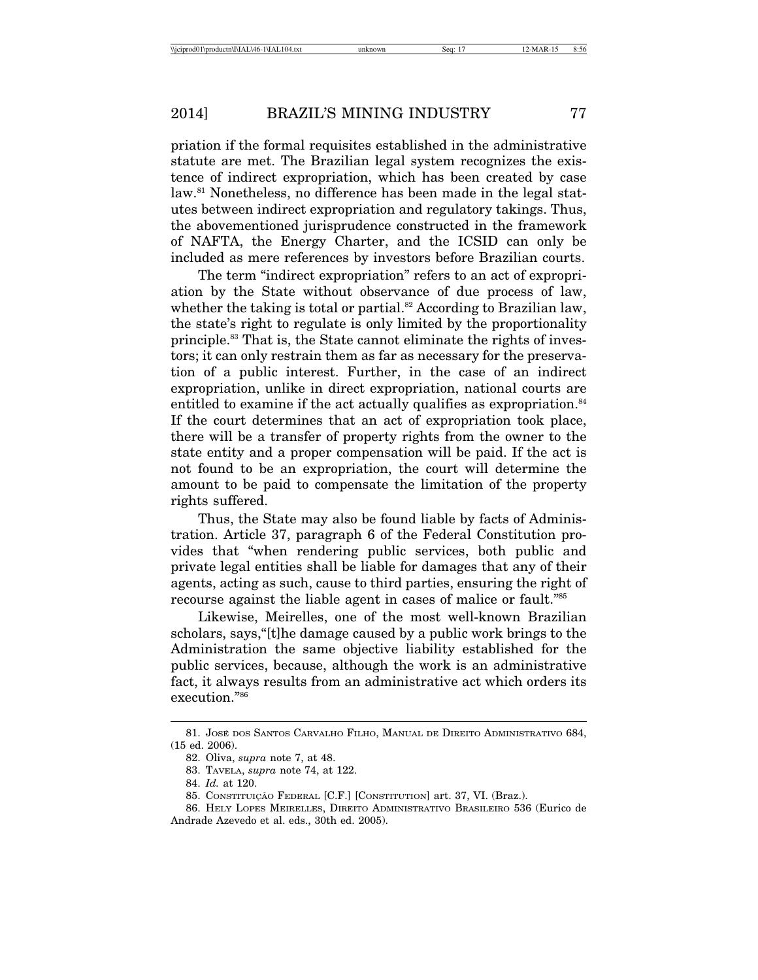priation if the formal requisites established in the administrative statute are met. The Brazilian legal system recognizes the existence of indirect expropriation, which has been created by case law.81 Nonetheless, no difference has been made in the legal statutes between indirect expropriation and regulatory takings. Thus, the abovementioned jurisprudence constructed in the framework of NAFTA, the Energy Charter, and the ICSID can only be included as mere references by investors before Brazilian courts.

The term "indirect expropriation" refers to an act of expropriation by the State without observance of due process of law, whether the taking is total or partial.<sup>82</sup> According to Brazilian law, the state's right to regulate is only limited by the proportionality principle.83 That is, the State cannot eliminate the rights of investors; it can only restrain them as far as necessary for the preservation of a public interest. Further, in the case of an indirect expropriation, unlike in direct expropriation, national courts are entitled to examine if the act actually qualifies as expropriation.<sup>84</sup> If the court determines that an act of expropriation took place, there will be a transfer of property rights from the owner to the state entity and a proper compensation will be paid. If the act is not found to be an expropriation, the court will determine the amount to be paid to compensate the limitation of the property rights suffered.

Thus, the State may also be found liable by facts of Administration. Article 37, paragraph 6 of the Federal Constitution provides that "when rendering public services, both public and private legal entities shall be liable for damages that any of their agents, acting as such, cause to third parties, ensuring the right of recourse against the liable agent in cases of malice or fault."85

Likewise, Meirelles, one of the most well-known Brazilian scholars, says,"[t]he damage caused by a public work brings to the Administration the same objective liability established for the public services, because, although the work is an administrative fact, it always results from an administrative act which orders its execution."86

<sup>81.</sup> JOSÉ DOS SANTOS CARVALHO FILHO, MANUAL DE DIREITO ADMINISTRATIVO 684, (15 ed. 2006).

<sup>82.</sup> Oliva, *supra* note 7, at 48.

<sup>83.</sup> TAVELA, *supra* note 74, at 122.

<sup>84.</sup> *Id.* at 120.

<sup>85.</sup> CONSTITUIÇÃO FEDERAL [C.F.] [CONSTITUTION] art. 37, VI. (Braz.).

<sup>86.</sup> HELY LOPES MEIRELLES, DIREITO ADMINISTRATIVO BRASILEIRO 536 (Eurico de Andrade Azevedo et al. eds., 30th ed. 2005).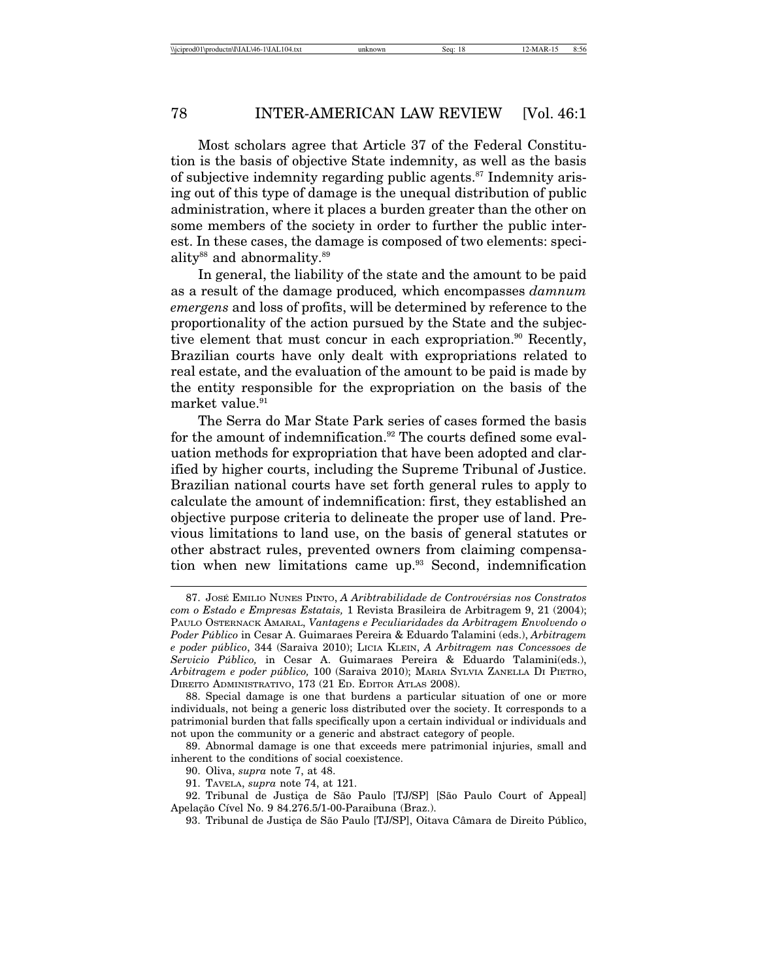Most scholars agree that Article 37 of the Federal Constitution is the basis of objective State indemnity, as well as the basis of subjective indemnity regarding public agents. $87$  Indemnity arising out of this type of damage is the unequal distribution of public administration, where it places a burden greater than the other on some members of the society in order to further the public interest. In these cases, the damage is composed of two elements: speciality<sup>88</sup> and abnormality.<sup>89</sup>

In general, the liability of the state and the amount to be paid as a result of the damage produced*,* which encompasses *damnum emergens* and loss of profits, will be determined by reference to the proportionality of the action pursued by the State and the subjective element that must concur in each expropriation.<sup>90</sup> Recently, Brazilian courts have only dealt with expropriations related to real estate, and the evaluation of the amount to be paid is made by the entity responsible for the expropriation on the basis of the market value.<sup>91</sup>

The Serra do Mar State Park series of cases formed the basis for the amount of indemnification.<sup>92</sup> The courts defined some evaluation methods for expropriation that have been adopted and clarified by higher courts, including the Supreme Tribunal of Justice. Brazilian national courts have set forth general rules to apply to calculate the amount of indemnification: first, they established an objective purpose criteria to delineate the proper use of land. Previous limitations to land use, on the basis of general statutes or other abstract rules, prevented owners from claiming compensation when new limitations came up.93 Second, indemnification

<sup>87.</sup> JOSÉ EMILIO NUNES PINTO, *A Aribtrabilidade de Controvérsias nos Constratos com o Estado e Empresas Estatais,* 1 Revista Brasileira de Arbitragem 9, 21 (2004); PAULO OSTERNACK AMARAL, *Vantagens e Peculiaridades da Arbitragem Envolvendo o Poder P´ublico* in Cesar A. Guimaraes Pereira & Eduardo Talamini (eds.), *Arbitragem e poder p´ublico*, 344 (Saraiva 2010); LICIA KLEIN, *A Arbitragem nas Concessoes de Servicio P´ublico,* in Cesar A. Guimaraes Pereira & Eduardo Talamini(eds.), *Arbitragem e poder p´ublico,* 100 (Saraiva 2010); MARIA SYLVIA ZANELLA DI PIETRO, DIREITO ADMINISTRATIVO, 173 (21 ED. EDITOR ATLAS 2008).

<sup>88.</sup> Special damage is one that burdens a particular situation of one or more individuals, not being a generic loss distributed over the society. It corresponds to a patrimonial burden that falls specifically upon a certain individual or individuals and not upon the community or a generic and abstract category of people.

<sup>89.</sup> Abnormal damage is one that exceeds mere patrimonial injuries, small and inherent to the conditions of social coexistence.

<sup>90.</sup> Oliva, *supra* note 7, at 48.

<sup>91.</sup> TAVELA, *supra* note 74, at 121.

<sup>92.</sup> Tribunal de Justiça de São Paulo [TJ/SP] [São Paulo Court of Appeal] Apelação Cível No. 9 84.276.5/1-00-Paraibuna (Braz.).

<sup>93.</sup> Tribunal de Justiça de São Paulo [TJ/SP], Oitava Câmara de Direito Público,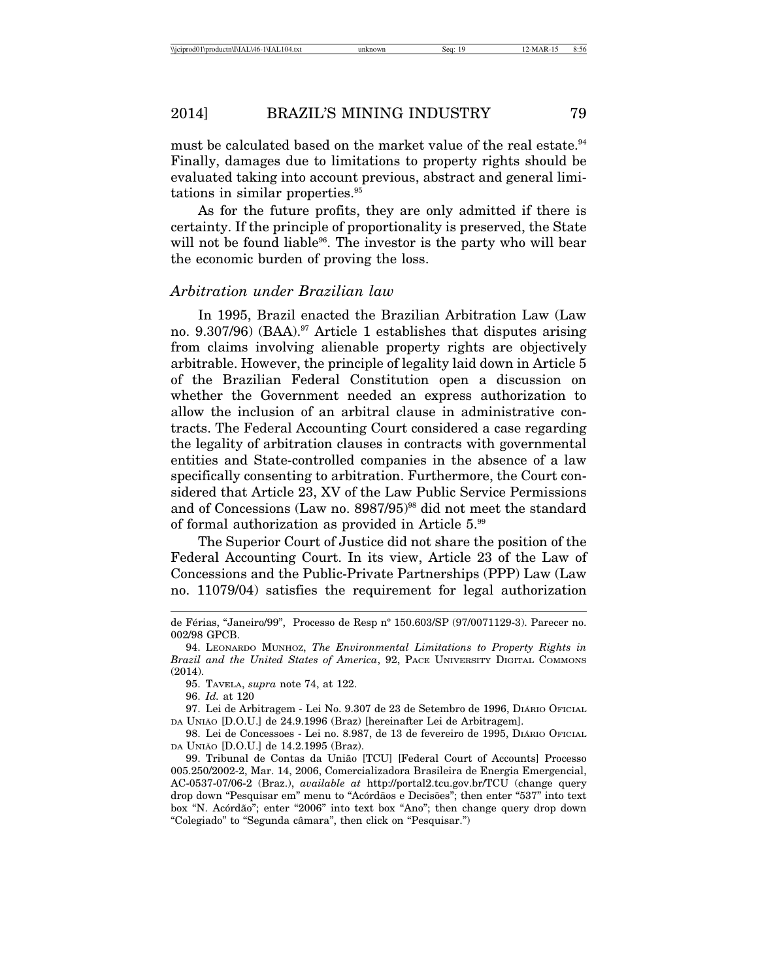must be calculated based on the market value of the real estate.<sup>94</sup> Finally, damages due to limitations to property rights should be evaluated taking into account previous, abstract and general limitations in similar properties.<sup>95</sup>

As for the future profits, they are only admitted if there is certainty. If the principle of proportionality is preserved, the State will not be found liable<sup>96</sup>. The investor is the party who will bear the economic burden of proving the loss.

#### *Arbitration under Brazilian law*

In 1995, Brazil enacted the Brazilian Arbitration Law (Law no. 9.307/96) (BAA).<sup>97</sup> Article 1 establishes that disputes arising from claims involving alienable property rights are objectively arbitrable. However, the principle of legality laid down in Article 5 of the Brazilian Federal Constitution open a discussion on whether the Government needed an express authorization to allow the inclusion of an arbitral clause in administrative contracts. The Federal Accounting Court considered a case regarding the legality of arbitration clauses in contracts with governmental entities and State-controlled companies in the absence of a law specifically consenting to arbitration. Furthermore, the Court considered that Article 23, XV of the Law Public Service Permissions and of Concessions (Law no. 8987/95)<sup>98</sup> did not meet the standard of formal authorization as provided in Article 5.99

The Superior Court of Justice did not share the position of the Federal Accounting Court. In its view, Article 23 of the Law of Concessions and the Public-Private Partnerships (PPP) Law (Law no. 11079/04) satisfies the requirement for legal authorization

de F´erias, "Janeiro/99", Processo de Resp nº 150.603/SP (97/0071129-3). Parecer no. 002/98 GPCB.

<sup>94.</sup> LEONARDO MUNHOZ, *The Environmental Limitations to Property Rights in Brazil and the United States of America*, 92, PACE UNIVERSITY DIGITAL COMMONS (2014).

<sup>95.</sup> TAVELA, *supra* note 74, at 122.

<sup>96.</sup> *Id.* at 120

<sup>97.</sup> Lei de Arbitragem - Lei No. 9.307 de 23 de Setembro de 1996, DIÁRIO OFICIAL DA UNIÃO [D.O.U.] de 24.9.1996 (Braz) [hereinafter Lei de Arbitragem].

<sup>98.</sup> Lei de Concessoes - Lei no. 8.987, de 13 de fevereiro de 1995, DIÁRIO OFICIAL DA UNIAO˜ [D.O.U.] de 14.2.1995 (Braz).

<sup>99.</sup> Tribunal de Contas da União [TCU] [Federal Court of Accounts] Processo 005.250/2002-2, Mar. 14, 2006, Comercializadora Brasileira de Energia Emergencial, AC-0537-07/06-2 (Braz.), *available at* http://portal2.tcu.gov.br/TCU (change query drop down "Pesquisar em" menu to "Acórdãos e Decisões"; then enter "537" into text box "N. Acórdão"; enter "2006" into text box "Ano"; then change query drop down "Colegiado" to "Segunda câmara", then click on "Pesquisar.")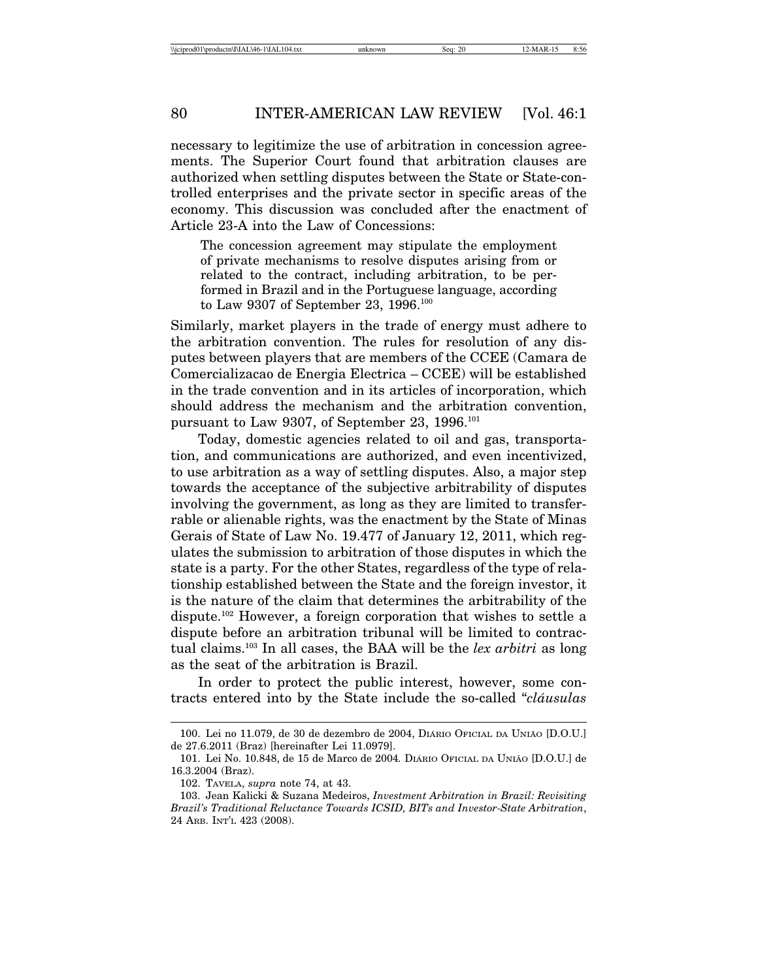necessary to legitimize the use of arbitration in concession agreements. The Superior Court found that arbitration clauses are authorized when settling disputes between the State or State-controlled enterprises and the private sector in specific areas of the economy. This discussion was concluded after the enactment of Article 23-A into the Law of Concessions:

The concession agreement may stipulate the employment of private mechanisms to resolve disputes arising from or related to the contract, including arbitration, to be performed in Brazil and in the Portuguese language, according to Law 9307 of September 23, 1996.<sup>100</sup>

Similarly, market players in the trade of energy must adhere to the arbitration convention. The rules for resolution of any disputes between players that are members of the CCEE (Camara de Comercializacao de Energia Electrica – CCEE) will be established in the trade convention and in its articles of incorporation, which should address the mechanism and the arbitration convention, pursuant to Law 9307, of September 23, 1996.101

Today, domestic agencies related to oil and gas, transportation, and communications are authorized, and even incentivized, to use arbitration as a way of settling disputes. Also, a major step towards the acceptance of the subjective arbitrability of disputes involving the government, as long as they are limited to transferrable or alienable rights, was the enactment by the State of Minas Gerais of State of Law No. 19.477 of January 12, 2011, which regulates the submission to arbitration of those disputes in which the state is a party. For the other States, regardless of the type of relationship established between the State and the foreign investor, it is the nature of the claim that determines the arbitrability of the dispute.102 However, a foreign corporation that wishes to settle a dispute before an arbitration tribunal will be limited to contractual claims.103 In all cases, the BAA will be the *lex arbitri* as long as the seat of the arbitration is Brazil.

In order to protect the public interest, however, some contracts entered into by the State include the so-called "*cl´ausulas*

<sup>100.</sup> Lei no 11.079, de 30 de dezembro de 2004, DIARIO OFICIAL DA UNIÃO [D.O.U.] de 27.6.2011 (Braz) [hereinafter Lei 11.0979].

<sup>101.</sup> Lei No. 10.848, de 15 de Marco de 2004*.* DIARIO ´ OFICIAL DA UNIAO˜ [D.O.U.] de 16.3.2004 (Braz).

<sup>102.</sup> TAVELA, *supra* note 74, at 43.

<sup>103.</sup> Jean Kalicki & Suzana Medeiros, *Investment Arbitration in Brazil: Revisiting Brazil's Traditional Reluctance Towards ICSID, BITs and Investor-State Arbitration*, 24 ARB. INT'L 423 (2008).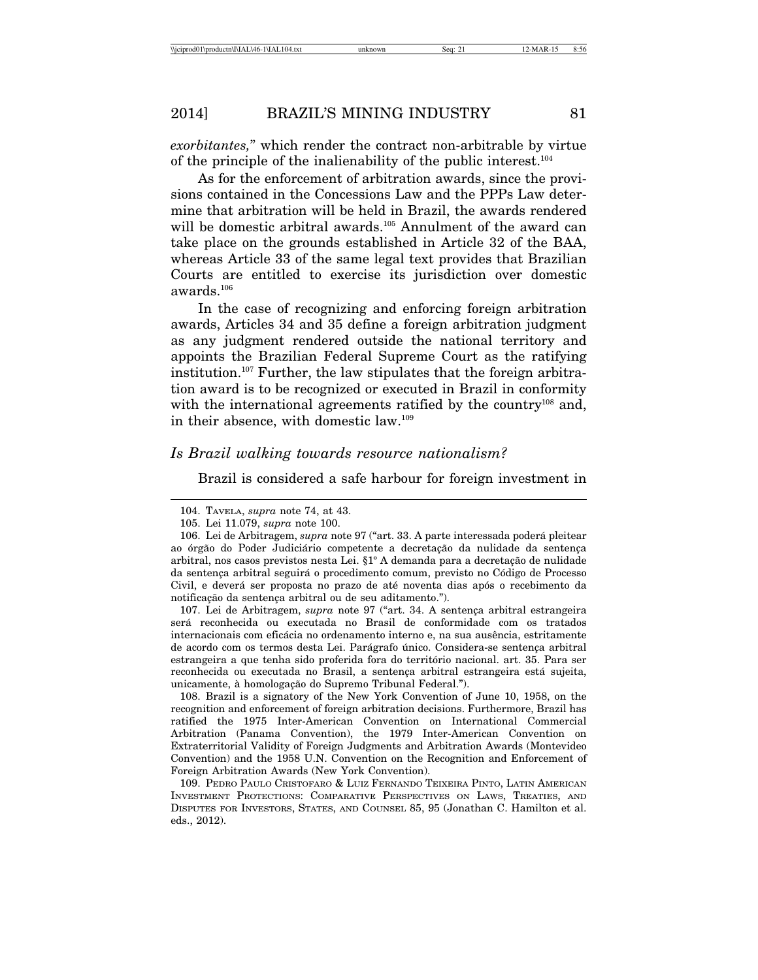*exorbitantes,*" which render the contract non-arbitrable by virtue of the principle of the inalienability of the public interest.104

As for the enforcement of arbitration awards, since the provisions contained in the Concessions Law and the PPPs Law determine that arbitration will be held in Brazil, the awards rendered will be domestic arbitral awards.<sup>105</sup> Annulment of the award can take place on the grounds established in Article 32 of the BAA, whereas Article 33 of the same legal text provides that Brazilian Courts are entitled to exercise its jurisdiction over domestic awards.106

In the case of recognizing and enforcing foreign arbitration awards, Articles 34 and 35 define a foreign arbitration judgment as any judgment rendered outside the national territory and appoints the Brazilian Federal Supreme Court as the ratifying institution.107 Further, the law stipulates that the foreign arbitration award is to be recognized or executed in Brazil in conformity with the international agreements ratified by the country<sup>108</sup> and, in their absence, with domestic law.109

#### *Is Brazil walking towards resource nationalism?*

Brazil is considered a safe harbour for foreign investment in

107. Lei de Arbitragem, *supra* note 97 ("art. 34. A sentença arbitral estrangeira será reconhecida ou executada no Brasil de conformidade com os tratados internacionais com eficácia no ordenamento interno e, na sua ausência, estritamente de acordo com os termos desta Lei. Parágrafo único. Considera-se sentença arbitral estrangeira a que tenha sido proferida fora do território nacional. art. 35. Para ser reconhecida ou executada no Brasil, a sentença arbitral estrangeira está sujeita, unicamente, à homologação do Supremo Tribunal Federal.").

108. Brazil is a signatory of the New York Convention of June 10, 1958, on the recognition and enforcement of foreign arbitration decisions. Furthermore, Brazil has ratified the 1975 Inter-American Convention on International Commercial Arbitration (Panama Convention), the 1979 Inter-American Convention on Extraterritorial Validity of Foreign Judgments and Arbitration Awards (Montevideo Convention) and the 1958 U.N. Convention on the Recognition and Enforcement of Foreign Arbitration Awards (New York Convention).

109. PEDRO PAULO CRISTOFARO & LUIZ FERNANDO TEIXEIRA PINTO, LATIN AMERICAN INVESTMENT PROTECTIONS: COMPARATIVE PERSPECTIVES ON LAWS, TREATIES, AND DISPUTES FOR INVESTORS, STATES, AND COUNSEL 85, 95 (Jonathan C. Hamilton et al. eds., 2012).

<sup>104.</sup> TAVELA, *supra* note 74, at 43.

<sup>105.</sup> Lei 11.079, *supra* note 100.

<sup>106.</sup> Lei de Arbitragem, *supra* note 97 ("art. 33. A parte interessada poder´a pleitear ao órgão do Poder Judiciário competente a decretação da nulidade da sentença arbitral, nos casos previstos nesta Lei.  $\S1^{\circ}$  A demanda para a decretação de nulidade da sentença arbitral seguirá o procedimento comum, previsto no Código de Processo Civil, e deverá ser proposta no prazo de até noventa dias após o recebimento da notificação da sentença arbitral ou de seu aditamento.").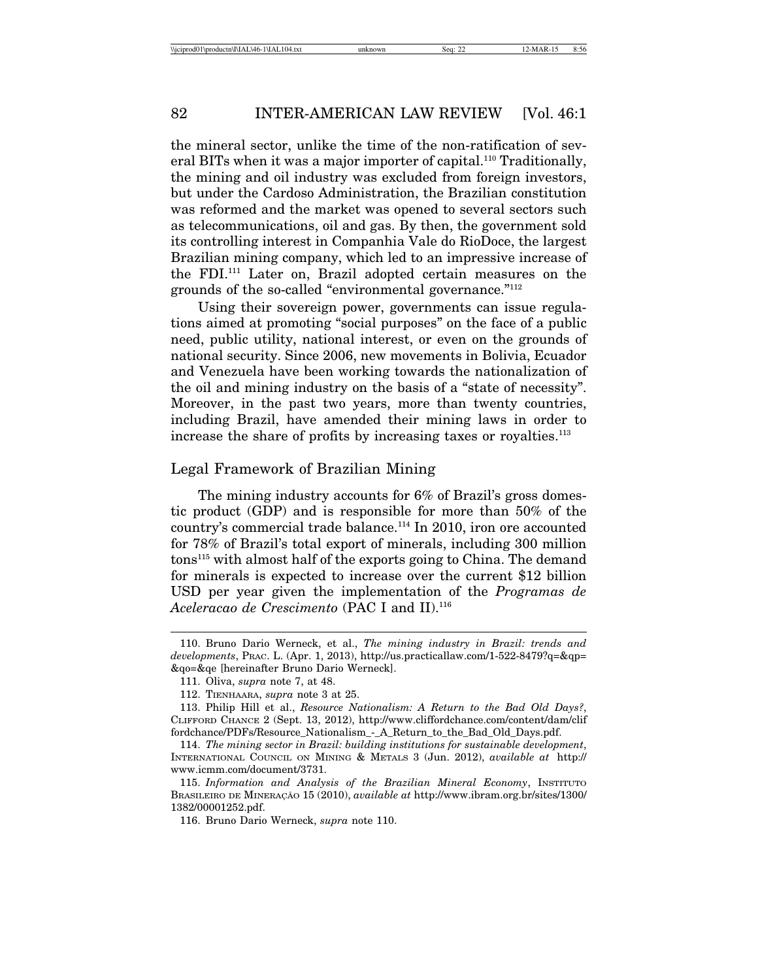the mineral sector, unlike the time of the non-ratification of several BITs when it was a major importer of capital.<sup>110</sup> Traditionally, the mining and oil industry was excluded from foreign investors, but under the Cardoso Administration, the Brazilian constitution was reformed and the market was opened to several sectors such as telecommunications, oil and gas. By then, the government sold its controlling interest in Companhia Vale do RioDoce, the largest Brazilian mining company, which led to an impressive increase of the FDI.111 Later on, Brazil adopted certain measures on the grounds of the so-called "environmental governance."112

Using their sovereign power, governments can issue regulations aimed at promoting "social purposes" on the face of a public need, public utility, national interest, or even on the grounds of national security. Since 2006, new movements in Bolivia, Ecuador and Venezuela have been working towards the nationalization of the oil and mining industry on the basis of a "state of necessity". Moreover, in the past two years, more than twenty countries, including Brazil, have amended their mining laws in order to increase the share of profits by increasing taxes or royalties.<sup>113</sup>

#### Legal Framework of Brazilian Mining

The mining industry accounts for 6% of Brazil's gross domestic product (GDP) and is responsible for more than 50% of the country's commercial trade balance.114 In 2010, iron ore accounted for 78% of Brazil's total export of minerals, including 300 million tons115 with almost half of the exports going to China. The demand for minerals is expected to increase over the current \$12 billion USD per year given the implementation of the *Programas de Aceleracao de Crescimento* (PAC I and II).116

<sup>110.</sup> Bruno Dario Werneck, et al., *The mining industry in Brazil: trends and developments*, PRAC. L. (Apr. 1, 2013), http://us.practicallaw.com/1-522-8479?q=&qp= &qo=&qe [hereinafter Bruno Dario Werneck].

<sup>111.</sup> Oliva, *supra* note 7, at 48.

<sup>112.</sup> TIENHAARA, *supra* note 3 at 25.

<sup>113.</sup> Philip Hill et al., *Resource Nationalism: A Return to the Bad Old Days?*, CLIFFORD CHANCE 2 (Sept. 13, 2012), http://www.cliffordchance.com/content/dam/clif fordchance/PDFs/Resource\_Nationalism\_-\_A\_Return\_to\_the\_Bad\_Old\_Days.pdf.

<sup>114.</sup> *The mining sector in Brazil: building institutions for sustainable development*, INTERNATIONAL COUNCIL ON MINING & METALS 3 (Jun. 2012), *available at* http:// www.icmm.com/document/3731.

<sup>115.</sup> *Information and Analysis of the Brazilian Mineral Economy*, INSTITUTO BRASILEIRO DE MINERAÇÃO 15 (2010), *available at* http://www.ibram.org.br/sites/1300/ 1382/00001252.pdf.

<sup>116.</sup> Bruno Dario Werneck, *supra* note 110.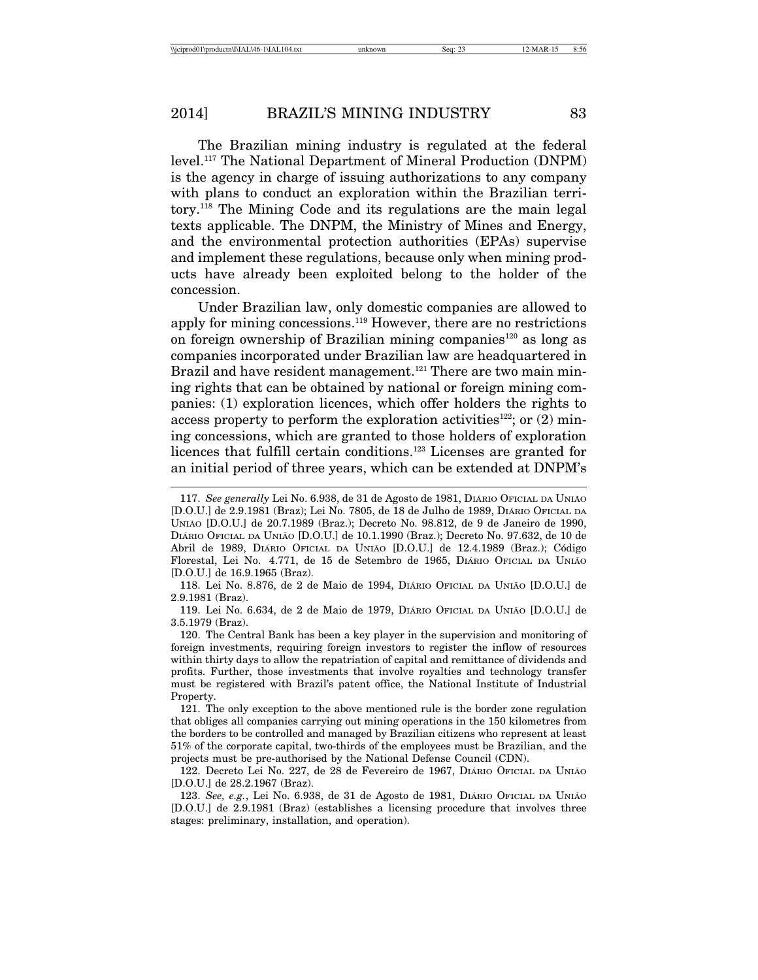The Brazilian mining industry is regulated at the federal level.117 The National Department of Mineral Production (DNPM) is the agency in charge of issuing authorizations to any company with plans to conduct an exploration within the Brazilian territory.118 The Mining Code and its regulations are the main legal texts applicable. The DNPM, the Ministry of Mines and Energy, and the environmental protection authorities (EPAs) supervise and implement these regulations, because only when mining products have already been exploited belong to the holder of the concession.

Under Brazilian law, only domestic companies are allowed to apply for mining concessions.119 However, there are no restrictions on foreign ownership of Brazilian mining companies<sup>120</sup> as long as companies incorporated under Brazilian law are headquartered in Brazil and have resident management.<sup>121</sup> There are two main mining rights that can be obtained by national or foreign mining companies: (1) exploration licences, which offer holders the rights to access property to perform the exploration activities<sup>122</sup>; or  $(2)$  mining concessions, which are granted to those holders of exploration licences that fulfill certain conditions.<sup>123</sup> Licenses are granted for an initial period of three years, which can be extended at DNPM's

122. Decreto Lei No. 227, de 28 de Fevereiro de 1967, DIÁRIO OFICIAL DA UNIÃO [D.O.U.] de 28.2.1967 (Braz).

123. See, e.g., Lei No. 6.938, de 31 de Agosto de 1981, DIÁRIO OFICIAL DA UNIÃO [D.O.U.] de 2.9.1981 (Braz) (establishes a licensing procedure that involves three stages: preliminary, installation, and operation).

<sup>117.</sup> See generally Lei No. 6.938, de 31 de Agosto de 1981, DIÁRIO OFICIAL DA UNIÃO [D.O.U.] de 2.9.1981 (Braz); Lei No. 7805, de 18 de Julho de 1989, DIÁRIO OFICIAL DA UNIAO˜ [D.O.U.] de 20.7.1989 (Braz.); Decreto No. 98.812, de 9 de Janeiro de 1990, DIÁRIO OFICIAL DA UNIÃO [D.O.U.] de 10.1.1990 (Braz.); Decreto No. 97.632, de 10 de Abril de 1989, DIÁRIO OFICIAL DA UNIÃO [D.O.U.] de 12.4.1989 (Braz.); Código Florestal, Lei No. 4.771, de 15 de Setembro de 1965, DIÁRIO OFICIAL DA UNIÃO [D.O.U.] de 16.9.1965 (Braz).

<sup>118.</sup> Lei No. 8.876, de 2 de Maio de 1994, DIÁRIO OFICIAL DA UNIÃO [D.O.U.] de 2.9.1981 (Braz).

<sup>119.</sup> Lei No. 6.634, de 2 de Maio de 1979, DIÁRIO OFICIAL DA UNIÃO [D.O.U.] de 3.5.1979 (Braz).

<sup>120.</sup> The Central Bank has been a key player in the supervision and monitoring of foreign investments, requiring foreign investors to register the inflow of resources within thirty days to allow the repatriation of capital and remittance of dividends and profits. Further, those investments that involve royalties and technology transfer must be registered with Brazil's patent office, the National Institute of Industrial Property.

<sup>121.</sup> The only exception to the above mentioned rule is the border zone regulation that obliges all companies carrying out mining operations in the 150 kilometres from the borders to be controlled and managed by Brazilian citizens who represent at least 51% of the corporate capital, two-thirds of the employees must be Brazilian, and the projects must be pre-authorised by the National Defense Council (CDN).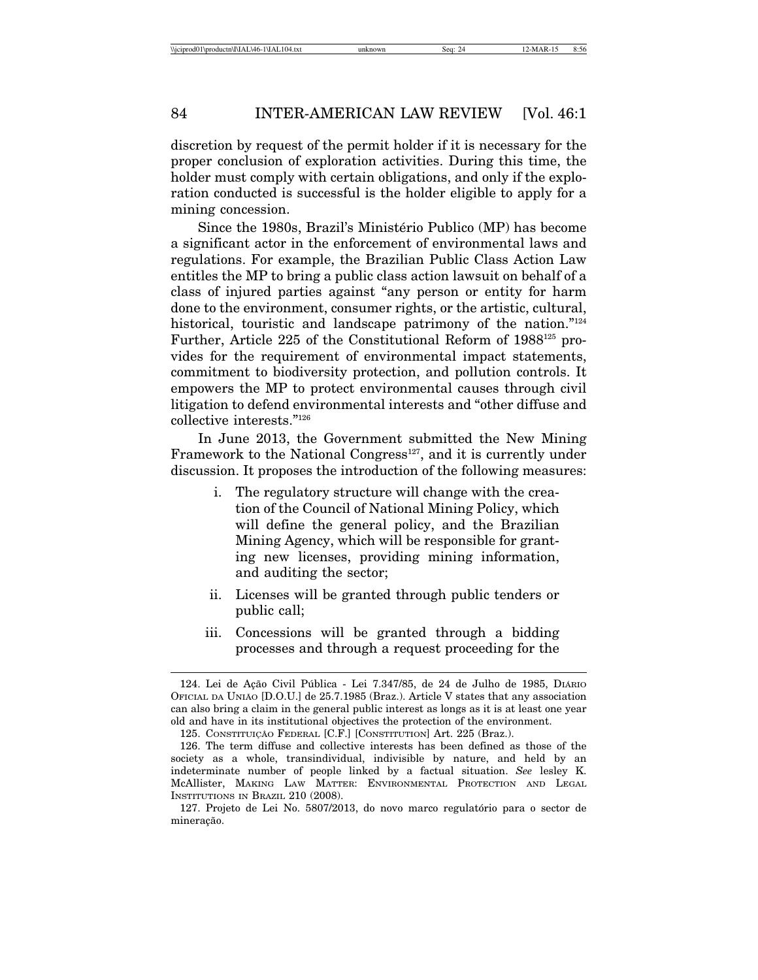discretion by request of the permit holder if it is necessary for the proper conclusion of exploration activities. During this time, the holder must comply with certain obligations, and only if the exploration conducted is successful is the holder eligible to apply for a mining concession.

Since the 1980s, Brazil's Ministério Publico (MP) has become a significant actor in the enforcement of environmental laws and regulations. For example, the Brazilian Public Class Action Law entitles the MP to bring a public class action lawsuit on behalf of a class of injured parties against "any person or entity for harm done to the environment, consumer rights, or the artistic, cultural, historical, touristic and landscape patrimony of the nation."<sup>124</sup> Further, Article 225 of the Constitutional Reform of 1988125 provides for the requirement of environmental impact statements, commitment to biodiversity protection, and pollution controls. It empowers the MP to protect environmental causes through civil litigation to defend environmental interests and "other diffuse and collective interests."126

In June 2013, the Government submitted the New Mining Framework to the National Congress<sup>127</sup>, and it is currently under discussion. It proposes the introduction of the following measures:

- i. The regulatory structure will change with the creation of the Council of National Mining Policy, which will define the general policy, and the Brazilian Mining Agency, which will be responsible for granting new licenses, providing mining information, and auditing the sector;
- ii. Licenses will be granted through public tenders or public call;
- iii. Concessions will be granted through a bidding processes and through a request proceeding for the

<sup>124.</sup> Lei de Ação Civil Pública - Lei 7.347/85, de 24 de Julho de 1985, DIARIO OFICIAL DA UNIAO˜ [D.O.U.] de 25.7.1985 (Braz.). Article V states that any association can also bring a claim in the general public interest as longs as it is at least one year old and have in its institutional objectives the protection of the environment.

<sup>125.</sup> CONSTITUIÇÃO FEDERAL [C.F.] [CONSTITUTION] Art. 225 (Braz.).

<sup>126.</sup> The term diffuse and collective interests has been defined as those of the society as a whole, transindividual, indivisible by nature, and held by an indeterminate number of people linked by a factual situation. *See* lesley K. McAllister, MAKING LAW MATTER: ENVIRONMENTAL PROTECTION AND LEGAL INSTITUTIONS IN BRAZIL 210 (2008).

<sup>127.</sup> Projeto de Lei No. 5807/2013, do novo marco regulatório para o sector de mineração.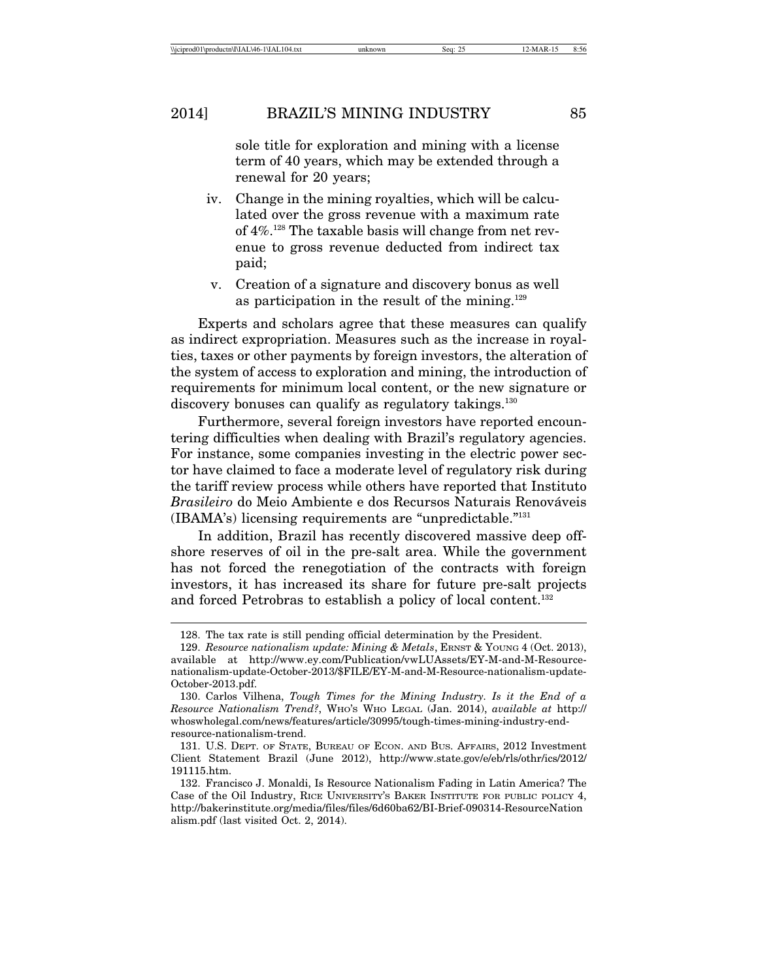sole title for exploration and mining with a license term of 40 years, which may be extended through a renewal for 20 years;

- iv. Change in the mining royalties, which will be calculated over the gross revenue with a maximum rate of 4%.128 The taxable basis will change from net revenue to gross revenue deducted from indirect tax paid;
- v. Creation of a signature and discovery bonus as well as participation in the result of the mining.<sup>129</sup>

Experts and scholars agree that these measures can qualify as indirect expropriation. Measures such as the increase in royalties, taxes or other payments by foreign investors, the alteration of the system of access to exploration and mining, the introduction of requirements for minimum local content, or the new signature or discovery bonuses can qualify as regulatory takings.<sup>130</sup>

Furthermore, several foreign investors have reported encountering difficulties when dealing with Brazil's regulatory agencies. For instance, some companies investing in the electric power sector have claimed to face a moderate level of regulatory risk during the tariff review process while others have reported that Instituto *Brasileiro* do Meio Ambiente e dos Recursos Naturais Renováveis (IBAMA's) licensing requirements are "unpredictable."131

In addition, Brazil has recently discovered massive deep offshore reserves of oil in the pre-salt area. While the government has not forced the renegotiation of the contracts with foreign investors, it has increased its share for future pre-salt projects and forced Petrobras to establish a policy of local content.<sup>132</sup>

<sup>128.</sup> The tax rate is still pending official determination by the President.

<sup>129.</sup> *Resource nationalism update: Mining & Metals*, ERNST & YOUNG 4 (Oct. 2013), available at http://www.ey.com/Publication/vwLUAssets/EY-M-and-M-Resourcenationalism-update-October-2013/\$FILE/EY-M-and-M-Resource-nationalism-update-October-2013.pdf.

<sup>130.</sup> Carlos Vilhena, *Tough Times for the Mining Industry. Is it the End of a Resource Nationalism Trend?*, WHO'S WHO LEGAL (Jan. 2014), *available at* http:// whoswholegal.com/news/features/article/30995/tough-times-mining-industry-endresource-nationalism-trend.

<sup>131.</sup> U.S. DEPT. OF STATE, BUREAU OF ECON. AND BUS. AFFAIRS, 2012 Investment Client Statement Brazil (June 2012), http://www.state.gov/e/eb/rls/othr/ics/2012/ 191115.htm.

<sup>132.</sup> Francisco J. Monaldi, Is Resource Nationalism Fading in Latin America? The Case of the Oil Industry, RICE UNIVERSITY'S BAKER INSTITUTE FOR PUBLIC POLICY 4, http://bakerinstitute.org/media/files/files/6d60ba62/BI-Brief-090314-ResourceNation alism.pdf (last visited Oct. 2, 2014).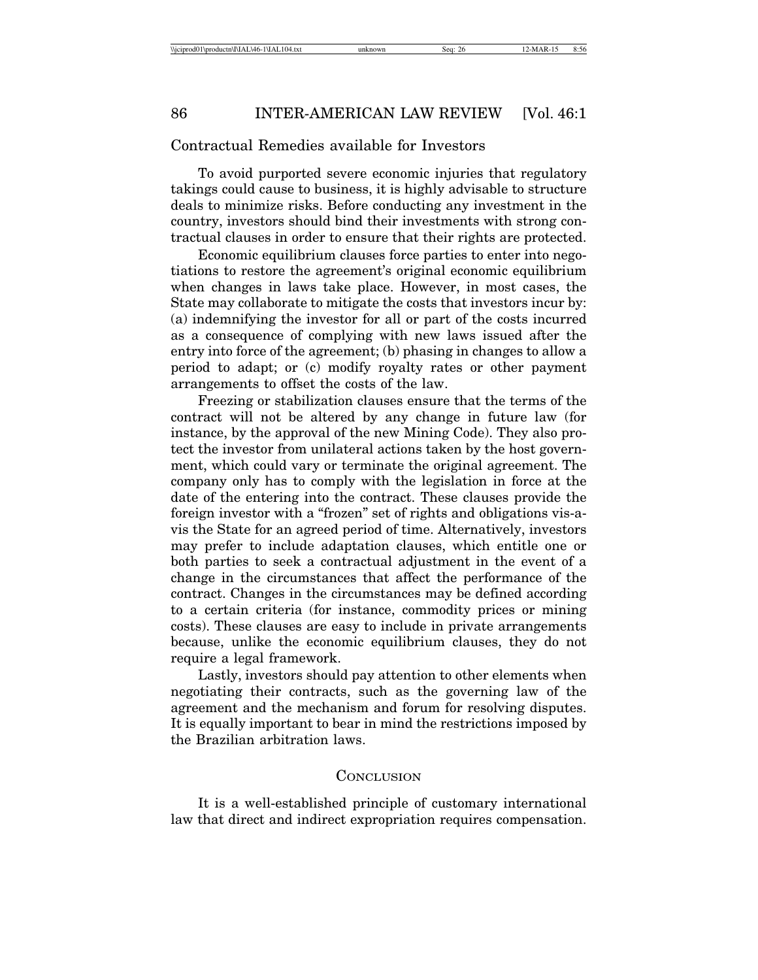#### Contractual Remedies available for Investors

To avoid purported severe economic injuries that regulatory takings could cause to business, it is highly advisable to structure deals to minimize risks. Before conducting any investment in the country, investors should bind their investments with strong contractual clauses in order to ensure that their rights are protected.

Economic equilibrium clauses force parties to enter into negotiations to restore the agreement's original economic equilibrium when changes in laws take place. However, in most cases, the State may collaborate to mitigate the costs that investors incur by: (a) indemnifying the investor for all or part of the costs incurred as a consequence of complying with new laws issued after the entry into force of the agreement; (b) phasing in changes to allow a period to adapt; or (c) modify royalty rates or other payment arrangements to offset the costs of the law.

Freezing or stabilization clauses ensure that the terms of the contract will not be altered by any change in future law (for instance, by the approval of the new Mining Code). They also protect the investor from unilateral actions taken by the host government, which could vary or terminate the original agreement. The company only has to comply with the legislation in force at the date of the entering into the contract. These clauses provide the foreign investor with a "frozen" set of rights and obligations vis-avis the State for an agreed period of time. Alternatively, investors may prefer to include adaptation clauses, which entitle one or both parties to seek a contractual adjustment in the event of a change in the circumstances that affect the performance of the contract. Changes in the circumstances may be defined according to a certain criteria (for instance, commodity prices or mining costs). These clauses are easy to include in private arrangements because, unlike the economic equilibrium clauses, they do not require a legal framework.

Lastly, investors should pay attention to other elements when negotiating their contracts, such as the governing law of the agreement and the mechanism and forum for resolving disputes. It is equally important to bear in mind the restrictions imposed by the Brazilian arbitration laws.

#### **CONCLUSION**

It is a well-established principle of customary international law that direct and indirect expropriation requires compensation.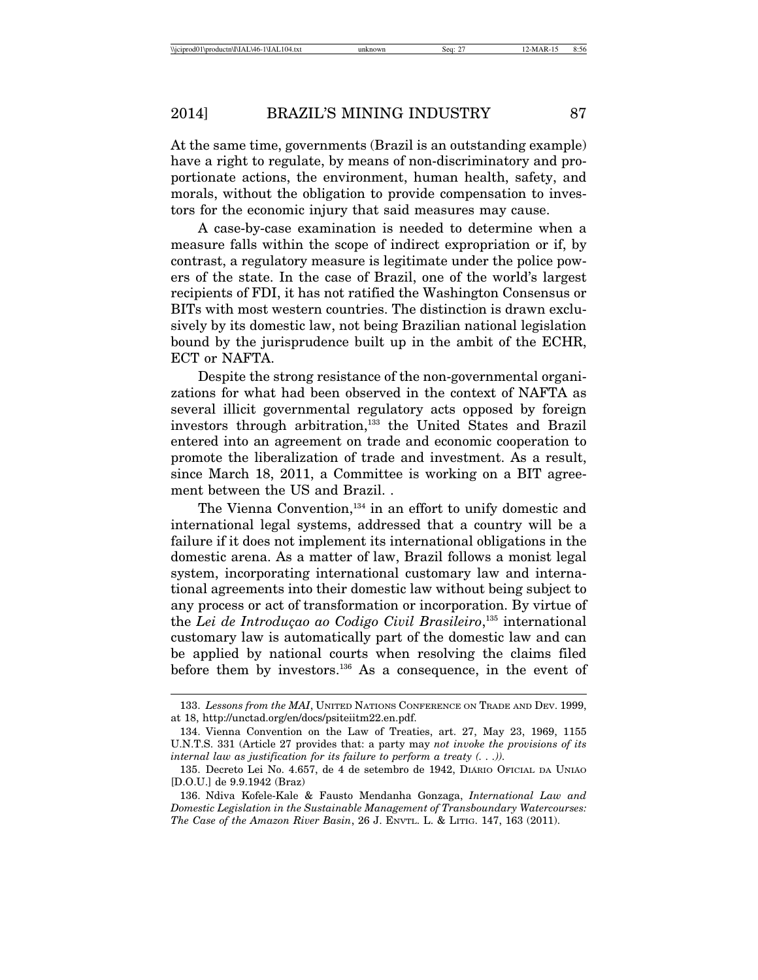At the same time, governments (Brazil is an outstanding example) have a right to regulate, by means of non-discriminatory and proportionate actions, the environment, human health, safety, and morals, without the obligation to provide compensation to investors for the economic injury that said measures may cause.

A case-by-case examination is needed to determine when a measure falls within the scope of indirect expropriation or if, by contrast, a regulatory measure is legitimate under the police powers of the state. In the case of Brazil, one of the world's largest recipients of FDI, it has not ratified the Washington Consensus or BITs with most western countries. The distinction is drawn exclusively by its domestic law, not being Brazilian national legislation bound by the jurisprudence built up in the ambit of the ECHR, ECT or NAFTA.

Despite the strong resistance of the non-governmental organizations for what had been observed in the context of NAFTA as several illicit governmental regulatory acts opposed by foreign investors through arbitration,<sup>133</sup> the United States and Brazil entered into an agreement on trade and economic cooperation to promote the liberalization of trade and investment. As a result, since March 18, 2011, a Committee is working on a BIT agreement between the US and Brazil. .

The Vienna Convention,<sup>134</sup> in an effort to unify domestic and international legal systems, addressed that a country will be a failure if it does not implement its international obligations in the domestic arena. As a matter of law, Brazil follows a monist legal system, incorporating international customary law and international agreements into their domestic law without being subject to any process or act of transformation or incorporation. By virtue of the Lei de Introduçao ao Codigo Civil Brasileiro,<sup>135</sup> international customary law is automatically part of the domestic law and can be applied by national courts when resolving the claims filed before them by investors.136 As a consequence, in the event of

<sup>133.</sup> *Lessons from the MAI*, UNITED NATIONS CONFERENCE ON TRADE AND DEV. 1999, at 18, http://unctad.org/en/docs/psiteiitm22.en.pdf.

<sup>134.</sup> Vienna Convention on the Law of Treaties, art. 27, May 23, 1969, 1155 U.N.T.S. 331 (Article 27 provides that: a party may *not invoke the provisions of its internal law as justification for its failure to perform a treaty (. . .)).*

<sup>135.</sup> Decreto Lei No. 4.657, de 4 de setembro de 1942, DIÁRIO OFICIAL DA UNIÃO [D.O.U.] de 9.9.1942 (Braz)

<sup>136.</sup> Ndiva Kofele-Kale & Fausto Mendanha Gonzaga, *International Law and Domestic Legislation in the Sustainable Management of Transboundary Watercourses: The Case of the Amazon River Basin*, 26 J. ENVTL. L. & LITIG. 147, 163 (2011).